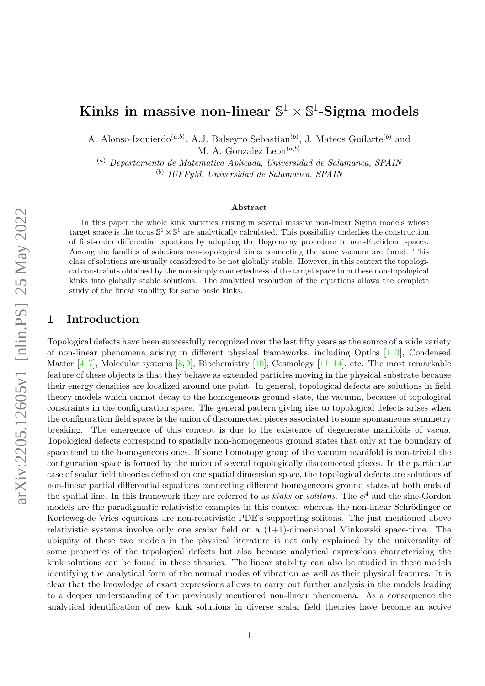# Kinks in massive non-linear  $\mathbb{S}^1 \times \mathbb{S}^1$ -Sigma models

A. Alonso-Izquierdo<sup>(*a,b*)</sup>, A.J. Balseyro Sebastian<sup>(*b*)</sup>, J. Mateos Guilarte<sup>(*b*)</sup> and M. A. Gonzalez  $\text{Leon}^{(a,b)}$ 

(a) Departamento de Matematica Aplicada, Universidad de Salamanca, SPAIN (b) IUFFyM, Universidad de Salamanca, SPAIN

#### Abstract

In this paper the whole kink varieties arising in several massive non-linear Sigma models whose target space is the torus  $\mathbb{S}^1 \times \mathbb{S}^1$  are analytically calculated. This possibility underlies the construction of first-order differential equations by adapting the Bogomolny procedure to non-Euclidean spaces. Among the families of solutions non-topological kinks connecting the same vacuum are found. This class of solutions are usually considered to be not globally stable. However, in this context the topological constraints obtained by the non-simply connectedness of the target space turn these non-topological kinks into globally stable solutions. The analytical resolution of the equations allows the complete study of the linear stability for some basic kinks.

#### 1 Introduction

Topological defects have been successfully recognized over the last fifty years as the source of a wide variety of non-linear phenomena arising in different physical frameworks, including Optics [\[1–](#page-19-0)[3\]](#page-19-1), Condensed Matter  $[4–7]$  $[4–7]$ , Molecular systems  $[8, 9]$  $[8, 9]$ , Biochemistry  $[10]$ , Cosmology  $[11–14]$  $[11–14]$ , etc. The most remarkable feature of these objects is that they behave as extended particles moving in the physical substrate because their energy densities are localized around one point. In general, topological defects are solutions in field theory models which cannot decay to the homogeneous ground state, the vacuum, because of topological constraints in the configuration space. The general pattern giving rise to topological defects arises when the configuration field space is the union of disconnected pieces associated to some spontaneous symmetry breaking. The emergence of this concept is due to the existence of degenerate manifolds of vacua. Topological defects correspond to spatially non-homogeneous ground states that only at the boundary of space tend to the homogeneous ones. If some homotopy group of the vacuum manifold is non-trivial the configuration space is formed by the union of several topologically disconnected pieces. In the particular case of scalar field theories defined on one spatial dimension space, the topological defects are solutions of non-linear partial differential equations connecting different homogeneous ground states at both ends of the spatial line. In this framework they are referred to as *kinks* or *solitons*. The  $\phi^4$  and the sine-Gordon models are the paradigmatic relativistic examples in this context whereas the non-linear Schrödinger or Korteweg-de Vries equations are non-relativistic PDE's supporting solitons. The just mentioned above relativistic systems involve only one scalar field on a  $(1+1)$ -dimensional Minkowski space-time. The ubiquity of these two models in the physical literature is not only explained by the universality of some properties of the topological defects but also because analytical expressions characterizing the kink solutions can be found in these theories. The linear stability can also be studied in these models identifying the analytical form of the normal modes of vibration as well as their physical features. It is clear that the knowledge of exact expressions allows to carry out further analysis in the models leading to a deeper understanding of the previously mentioned non-linear phenomena. As a consequence the analytical identification of new kink solutions in diverse scalar field theories have become an active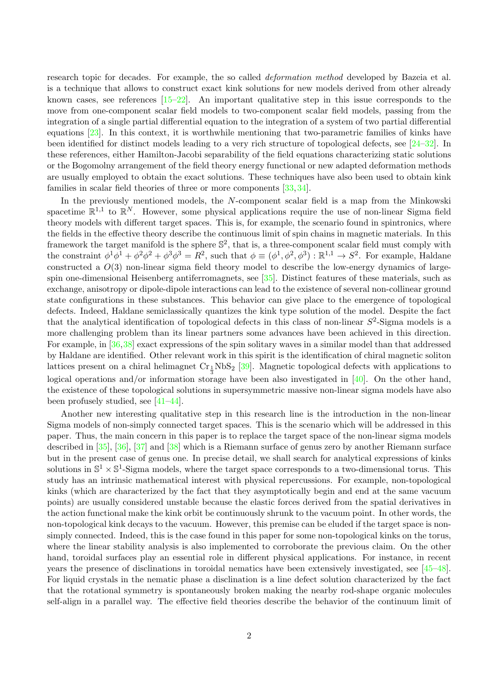research topic for decades. For example, the so called deformation method developed by Bazeia et al. is a technique that allows to construct exact kink solutions for new models derived from other already known cases, see references  $[15-22]$  $[15-22]$ . An important qualitative step in this issue corresponds to the move from one-component scalar field models to two-component scalar field models, passing from the integration of a single partial differential equation to the integration of a system of two partial differential equations [\[23\]](#page-20-1). In this context, it is worthwhile mentioning that two-parametric families of kinks have been identified for distinct models leading to a very rich structure of topological defects, see [\[24–](#page-20-2)[32\]](#page-20-3). In these references, either Hamilton-Jacobi separability of the field equations characterizing static solutions or the Bogomolny arrangement of the field theory energy functional or new adapted deformation methods are usually employed to obtain the exact solutions. These techniques have also been used to obtain kink families in scalar field theories of three or more components [\[33,](#page-20-4) [34\]](#page-20-5).

In the previously mentioned models, the N-component scalar field is a map from the Minkowski spacetime  $\mathbb{R}^{1,1}$  to  $\mathbb{R}^N$ . However, some physical applications require the use of non-linear Sigma field theory models with different target spaces. This is, for example, the scenario found in spintronics, where the fields in the effective theory describe the continuous limit of spin chains in magnetic materials. In this framework the target manifold is the sphere  $\mathbb{S}^2$ , that is, a three-component scalar field must comply with the constraint  $\phi^1 \phi^1 + \phi^2 \phi^2 + \phi^3 \phi^3 = R^2$ , such that  $\phi \equiv (\phi^1, \phi^2, \phi^3) : \mathbb{R}^{1,1} \to S^2$ . For example, Haldane constructed a  $O(3)$  non-linear sigma field theory model to describe the low-energy dynamics of largespin one-dimensional Heisenberg antiferromagnets, see [\[35\]](#page-20-6). Distinct features of these materials, such as exchange, anisotropy or dipole-dipole interactions can lead to the existence of several non-collinear ground state configurations in these substances. This behavior can give place to the emergence of topological defects. Indeed, Haldane semiclassically quantizes the kink type solution of the model. Despite the fact that the analytical identification of topological defects in this class of non-linear  $S^2$ -Sigma models is a more challenging problem than its linear partners some advances have been achieved in this direction. For example, in [\[36,](#page-20-7)[38\]](#page-20-8) exact expressions of the spin solitary waves in a similar model than that addressed by Haldane are identified. Other relevant work in this spirit is the identification of chiral magnetic soliton lattices present on a chiral helimagnet  $Cr_{\frac{1}{3}}NbS_2$  [\[39\]](#page-21-0). Magnetic topological defects with applications to logical operations and/or information storage have been also investigated in [\[40\]](#page-21-1). On the other hand, the existence of these topological solutions in supersymmetric massive non-linear sigma models have also been profusely studied, see [\[41–](#page-21-2)[44\]](#page-21-3).

Another new interesting qualitative step in this research line is the introduction in the non-linear Sigma models of non-simply connected target spaces. This is the scenario which will be addressed in this paper. Thus, the main concern in this paper is to replace the target space of the non-linear sigma models described in [\[35\]](#page-20-6), [\[36\]](#page-20-7), [\[37\]](#page-20-9) and [\[38\]](#page-20-8) which is a Riemann surface of genus zero by another Riemann surface but in the present case of genus one. In precise detail, we shall search for analytical expressions of kinks solutions in  $\mathbb{S}^1 \times \mathbb{S}^1$ -Sigma models, where the target space corresponds to a two-dimensional torus. This study has an intrinsic mathematical interest with physical repercussions. For example, non-topological kinks (which are characterized by the fact that they asymptotically begin and end at the same vacuum points) are usually considered unstable because the elastic forces derived from the spatial derivatives in the action functional make the kink orbit be continuously shrunk to the vacuum point. In other words, the non-topological kink decays to the vacuum. However, this premise can be eluded if the target space is nonsimply connected. Indeed, this is the case found in this paper for some non-topological kinks on the torus, where the linear stability analysis is also implemented to corroborate the previous claim. On the other hand, toroidal surfaces play an essential role in different physical applications. For instance, in recent years the presence of disclinations in toroidal nematics have been extensively investigated, see [\[45–](#page-21-4)[48\]](#page-21-5). For liquid crystals in the nematic phase a disclination is a line defect solution characterized by the fact that the rotational symmetry is spontaneously broken making the nearby rod-shape organic molecules self-align in a parallel way. The effective field theories describe the behavior of the continuum limit of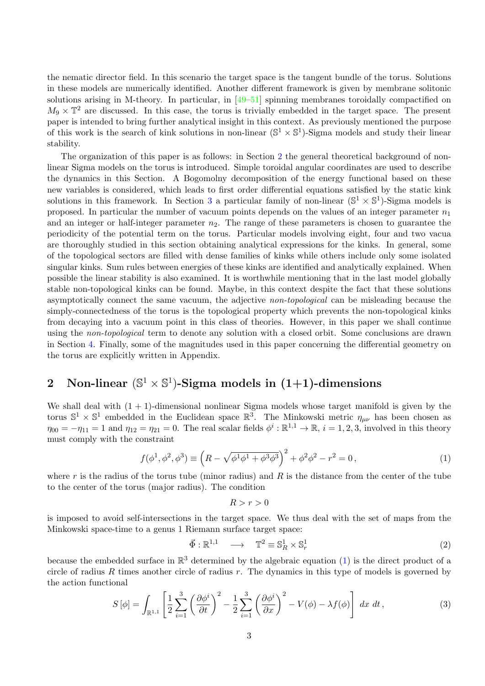the nematic director field. In this scenario the target space is the tangent bundle of the torus. Solutions in these models are numerically identified. Another different framework is given by membrane solitonic solutions arising in M-theory. In particular, in  $[49-51]$  $[49-51]$  spinning membranes toroidally compactified on  $M_9 \times \mathbb{T}^2$  are discussed. In this case, the torus is trivially embedded in the target space. The present paper is intended to bring further analytical insight in this context. As previously mentioned the purpose of this work is the search of kink solutions in non-linear  $(\mathbb{S}^1 \times \mathbb{S}^1)$ -Sigma models and study their linear stability.

The organization of this paper is as follows: in Section [2](#page-2-0) the general theoretical background of nonlinear Sigma models on the torus is introduced. Simple toroidal angular coordinates are used to describe the dynamics in this Section. A Bogomolny decomposition of the energy functional based on these new variables is considered, which leads to first order differential equations satisfied by the static kink solutions in this framework. In Section [3](#page-5-0) a particular family of non-linear  $(\mathbb{S}^1 \times \mathbb{S}^1)$ -Sigma models is proposed. In particular the number of vacuum points depends on the values of an integer parameter  $n_1$ and an integer or half-integer parameter  $n_2$ . The range of these parameters is chosen to guarantee the periodicity of the potential term on the torus. Particular models involving eight, four and two vacua are thoroughly studied in this section obtaining analytical expressions for the kinks. In general, some of the topological sectors are filled with dense families of kinks while others include only some isolated singular kinks. Sum rules between energies of these kinks are identified and analytically explained. When possible the linear stability is also examined. It is worthwhile mentioning that in the last model globally stable non-topological kinks can be found. Maybe, in this context despite the fact that these solutions asymptotically connect the same vacuum, the adjective non-topological can be misleading because the simply-connectedness of the torus is the topological property which prevents the non-topological kinks from decaying into a vacuum point in this class of theories. However, in this paper we shall continue using the non-topological term to denote any solution with a closed orbit. Some conclusions are drawn in Section [4.](#page-17-0) Finally, some of the magnitudes used in this paper concerning the differential geometry on the torus are explicitly written in Appendix.

## <span id="page-2-0"></span>2 Non-linear  $(\mathbb{S}^1 \times \mathbb{S}^1)$ -Sigma models in  $(1+1)$ -dimensions

We shall deal with  $(1 + 1)$ -dimensional nonlinear Sigma models whose target manifold is given by the torus  $\mathbb{S}^1 \times \mathbb{S}^1$  embedded in the Euclidean space  $\mathbb{R}^3$ . The Minkowski metric  $\eta_{\mu\nu}$  has been chosen as  $\eta_{00} = -\eta_{11} = 1$  and  $\eta_{12} = \eta_{21} = 0$ . The real scalar fields  $\phi^i : \mathbb{R}^{1,1} \to \mathbb{R}$ ,  $i = 1,2,3$ , involved in this theory must comply with the constraint

<span id="page-2-1"></span>
$$
f(\phi^1, \phi^2, \phi^3) \equiv \left( R - \sqrt{\phi^1 \phi^1 + \phi^3 \phi^3} \right)^2 + \phi^2 \phi^2 - r^2 = 0, \tag{1}
$$

where r is the radius of the torus tube (minor radius) and R is the distance from the center of the tube to the center of the torus (major radius). The condition

$$
R > r > 0
$$

is imposed to avoid self-intersections in the target space. We thus deal with the set of maps from the Minkowski space-time to a genus 1 Riemann surface target space:

$$
\vec{\Phi}: \mathbb{R}^{1,1} \quad \longrightarrow \quad \mathbb{T}^2 \equiv \mathbb{S}_R^1 \times \mathbb{S}_r^1 \tag{2}
$$

because the embedded surface in  $\mathbb{R}^3$  determined by the algebraic equation [\(1\)](#page-2-1) is the direct product of a circle of radius R times another circle of radius  $r$ . The dynamics in this type of models is governed by the action functional

<span id="page-2-2"></span>
$$
S\left[\phi\right] = \int_{\mathbb{R}^{1,1}} \left[ \frac{1}{2} \sum_{i=1}^{3} \left( \frac{\partial \phi^i}{\partial t} \right)^2 - \frac{1}{2} \sum_{i=1}^{3} \left( \frac{\partial \phi^i}{\partial x} \right)^2 - V(\phi) - \lambda f(\phi) \right] dx dt,
$$
\n(3)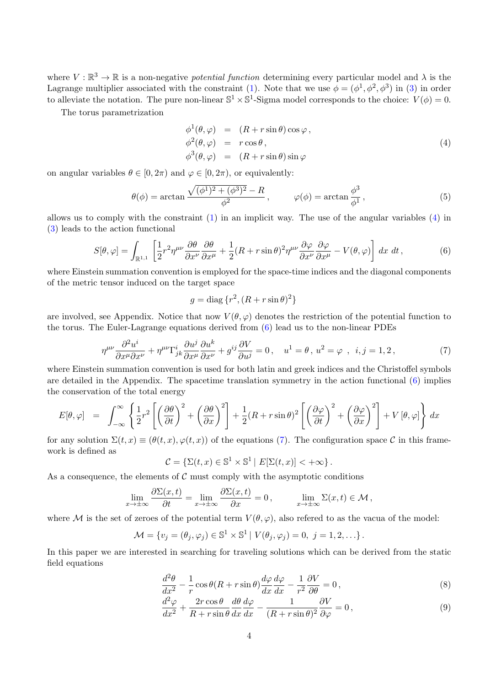where  $V : \mathbb{R}^3 \to \mathbb{R}$  is a non-negative *potential function* determining every particular model and  $\lambda$  is the Lagrange multiplier associated with the constraint [\(1\)](#page-2-1). Note that we use  $\phi = (\phi^1, \phi^2, \phi^3)$  in [\(3\)](#page-2-2) in order to alleviate the notation. The pure non-linear  $\mathbb{S}^1 \times \mathbb{S}^1$ -Sigma model corresponds to the choice:  $V(\phi) = 0$ .

The torus parametrization

<span id="page-3-0"></span>
$$
\begin{array}{rcl}\n\phi^1(\theta,\varphi) & = & (R+r\sin\theta)\cos\varphi, \\
\phi^2(\theta,\varphi) & = & r\cos\theta, \\
\phi^3(\theta,\varphi) & = & (R+r\sin\theta)\sin\varphi\n\end{array} \tag{4}
$$

on angular variables  $\theta \in [0, 2\pi)$  and  $\varphi \in [0, 2\pi)$ , or equivalently:

$$
\theta(\phi) = \arctan \frac{\sqrt{(\phi^1)^2 + (\phi^3)^2} - R}{\phi^2}, \qquad \varphi(\phi) = \arctan \frac{\phi^3}{\phi^1}, \qquad (5)
$$

allows us to comply with the constraint [\(1\)](#page-2-1) in an implicit way. The use of the angular variables [\(4\)](#page-3-0) in [\(3\)](#page-2-2) leads to the action functional

<span id="page-3-1"></span>
$$
S[\theta,\varphi] = \int_{\mathbb{R}^{1,1}} \left[ \frac{1}{2} r^2 \eta^{\mu\nu} \frac{\partial \theta}{\partial x^{\nu}} \frac{\partial \theta}{\partial x^{\mu}} + \frac{1}{2} (R + r \sin \theta)^2 \eta^{\mu\nu} \frac{\partial \varphi}{\partial x^{\nu}} \frac{\partial \varphi}{\partial x^{\mu}} - V(\theta,\varphi) \right] dx dt,
$$
(6)

where Einstein summation convention is employed for the space-time indices and the diagonal components of the metric tensor induced on the target space

$$
g = \text{diag}\{r^2, (R + r\sin\theta)^2\}
$$

are involved, see Appendix. Notice that now  $V(\theta, \varphi)$  denotes the restriction of the potential function to the torus. The Euler-Lagrange equations derived from [\(6\)](#page-3-1) lead us to the non-linear PDEs

<span id="page-3-2"></span>
$$
\eta^{\mu\nu}\frac{\partial^2 u^i}{\partial x^\mu \partial x^\nu} + \eta^{\mu\nu}\Gamma^i_{jk}\frac{\partial u^j}{\partial x^\mu}\frac{\partial u^k}{\partial x^\nu} + g^{ij}\frac{\partial V}{\partial u^j} = 0\,, \quad u^1 = \theta\,,\,u^2 = \varphi\,,\ \ i, j = 1, 2\,,\tag{7}
$$

where Einstein summation convention is used for both latin and greek indices and the Christoffel symbols are detailed in the Appendix. The spacetime translation symmetry in the action functional [\(6\)](#page-3-1) implies the conservation of the total energy

$$
E[\theta,\varphi] = \int_{-\infty}^{\infty} \left\{ \frac{1}{2} r^2 \left[ \left( \frac{\partial \theta}{\partial t} \right)^2 + \left( \frac{\partial \theta}{\partial x} \right)^2 \right] + \frac{1}{2} (R + r \sin \theta)^2 \left[ \left( \frac{\partial \varphi}{\partial t} \right)^2 + \left( \frac{\partial \varphi}{\partial x} \right)^2 \right] + V[\theta,\varphi] \right\} dx
$$

for any solution  $\Sigma(t, x) \equiv (\theta(t, x), \varphi(t, x))$  of the equations [\(7\)](#page-3-2). The configuration space C in this framework is defined as

$$
\mathcal{C} = \{ \Sigma(t, x) \in \mathbb{S}^1 \times \mathbb{S}^1 \mid E[\Sigma(t, x)] < +\infty \}.
$$

As a consequence, the elements of  $\mathcal C$  must comply with the asymptotic conditions

$$
\lim_{x \to \pm \infty} \frac{\partial \Sigma(x, t)}{\partial t} = \lim_{x \to \pm \infty} \frac{\partial \Sigma(x, t)}{\partial x} = 0, \qquad \lim_{x \to \pm \infty} \Sigma(x, t) \in \mathcal{M},
$$

where M is the set of zeroes of the potential term  $V(\theta, \varphi)$ , also refered to as the vacua of the model:

$$
\mathcal{M} = \{v_j = (\theta_j, \varphi_j) \in \mathbb{S}^1 \times \mathbb{S}^1 \mid V(\theta_j, \varphi_j) = 0, \ j = 1, 2, \ldots \}.
$$

In this paper we are interested in searching for traveling solutions which can be derived from the static field equations

<span id="page-3-3"></span>
$$
\frac{d^2\theta}{dx^2} - \frac{1}{r}\cos\theta(R+r\sin\theta)\frac{d\varphi}{dx}\frac{d\varphi}{dx} - \frac{1}{r^2}\frac{\partial V}{\partial\theta} = 0,
$$
\n(8)

$$
\frac{d^2\varphi}{dx^2} + \frac{2r\cos\theta}{R + r\sin\theta}\frac{d\theta}{dx}\frac{d\varphi}{dx} - \frac{1}{(R + r\sin\theta)^2}\frac{\partial V}{\partial\varphi} = 0,
$$
\n(9)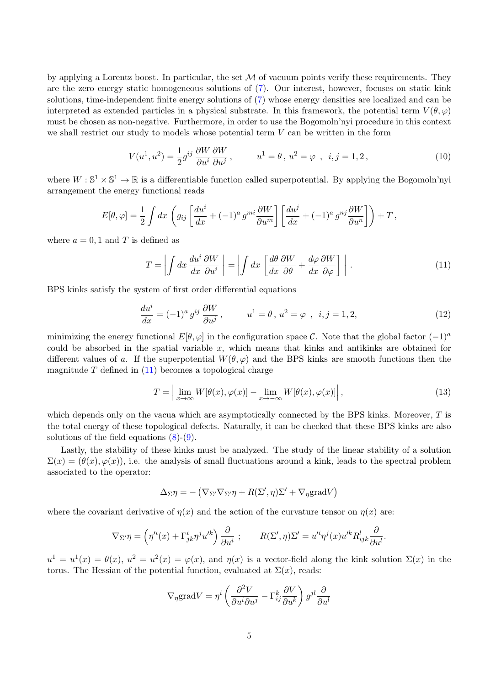by applying a Lorentz boost. In particular, the set  $\mathcal M$  of vacuum points verify these requirements. They are the zero energy static homogeneous solutions of [\(7\)](#page-3-2). Our interest, however, focuses on static kink solutions, time-independent finite energy solutions of [\(7\)](#page-3-2) whose energy densities are localized and can be interpreted as extended particles in a physical substrate. In this framework, the potential term  $V(\theta, \varphi)$ must be chosen as non-negative. Furthermore, in order to use the Bogomoln'nyi procedure in this context we shall restrict our study to models whose potential term  $V$  can be written in the form

<span id="page-4-1"></span>
$$
V(u^1, u^2) = \frac{1}{2}g^{ij}\frac{\partial W}{\partial u^i}\frac{\partial W}{\partial u^j}, \qquad u^1 = \theta, u^2 = \varphi, \quad i, j = 1, 2,
$$
\n
$$
(10)
$$

where  $W : \mathbb{S}^1 \times \mathbb{S}^1 \to \mathbb{R}$  is a differentiable function called superpotential. By applying the Bogomoln'nyi arrangement the energy functional reads

$$
E[\theta,\varphi] = \frac{1}{2} \int dx \left( g_{ij} \left[ \frac{du^i}{dx} + (-1)^a g^{mi} \frac{\partial W}{\partial u^m} \right] \left[ \frac{du^j}{dx} + (-1)^a g^{nj} \frac{\partial W}{\partial u^n} \right] \right) + T,
$$

where  $a = 0, 1$  and T is defined as

<span id="page-4-0"></span>
$$
T = \left| \int dx \, \frac{du^i}{dx} \frac{\partial W}{\partial u^i} \right| = \left| \int dx \, \left[ \frac{d\theta}{dx} \frac{\partial W}{\partial \theta} + \frac{d\varphi}{dx} \frac{\partial W}{\partial \varphi} \right] \right| \,. \tag{11}
$$

BPS kinks satisfy the system of first order differential equations

<span id="page-4-2"></span>
$$
\frac{du^{i}}{dx} = (-1)^{a} g^{ij} \frac{\partial W}{\partial u^{j}}, \qquad u^{1} = \theta, u^{2} = \varphi, \ i, j = 1, 2,
$$
\n(12)

minimizing the energy functional  $E[\theta, \varphi]$  in the configuration space C. Note that the global factor  $(-1)^a$ could be absorbed in the spatial variable  $x$ , which means that kinks and antikinks are obtained for different values of a. If the superpotential  $W(\theta, \varphi)$  and the BPS kinks are smooth functions then the magnitude  $T$  defined in  $(11)$  becomes a topological charge

$$
T = \left| \lim_{x \to \infty} W[\theta(x), \varphi(x)] - \lim_{x \to -\infty} W[\theta(x), \varphi(x)] \right|,
$$
\n(13)

which depends only on the vacua which are asymptotically connected by the BPS kinks. Moreover,  $T$  is the total energy of these topological defects. Naturally, it can be checked that these BPS kinks are also solutions of the field equations  $(8)-(9)$  $(8)-(9)$ .

Lastly, the stability of these kinks must be analyzed. The study of the linear stability of a solution  $\Sigma(x) = (\theta(x), \varphi(x))$ , i.e. the analysis of small fluctuations around a kink, leads to the spectral problem associated to the operator:

$$
\Delta_{\Sigma} \eta = -(\nabla_{\Sigma'} \nabla_{\Sigma'} \eta + R(\Sigma', \eta) \Sigma' + \nabla_{\eta} \text{grad} V)
$$

where the covariant derivative of  $\eta(x)$  and the action of the curvature tensor on  $\eta(x)$  are:

$$
\nabla_{\Sigma'} \eta = \left( \eta'^i(x) + \Gamma^i_{jk} \eta^j u'^k \right) \frac{\partial}{\partial u^i} ; \qquad R(\Sigma', \eta) \Sigma' = u'^i \eta^j(x) u'^k R^l_{ijk} \frac{\partial}{\partial u^l}.
$$

 $u^1 = u^1(x) = \theta(x), u^2 = u^2(x) = \varphi(x)$ , and  $\eta(x)$  is a vector-field along the kink solution  $\Sigma(x)$  in the torus. The Hessian of the potential function, evaluated at  $\Sigma(x)$ , reads:

$$
\nabla_{\eta} \text{grad} V = \eta^i \left( \frac{\partial^2 V}{\partial u^i \partial u^j} - \Gamma^k_{ij} \frac{\partial V}{\partial u^k} \right) g^{jl} \frac{\partial}{\partial u^l}
$$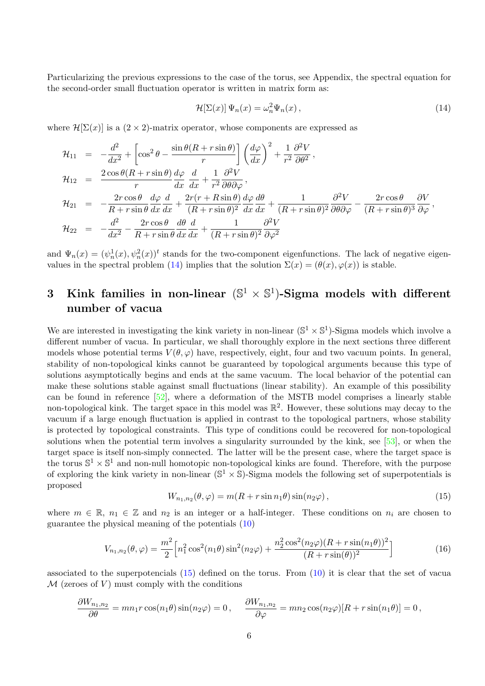Particularizing the previous expressions to the case of the torus, see Appendix, the spectral equation for the second-order small fluctuation operator is written in matrix form as:

<span id="page-5-1"></span>
$$
\mathcal{H}[\Sigma(x)]\,\Psi_n(x) = \omega_n^2 \Psi_n(x)\,,\tag{14}
$$

where  $\mathcal{H}[\Sigma(x)]$  is a  $(2 \times 2)$ -matrix operator, whose components are expressed as

$$
\mathcal{H}_{11} = -\frac{d^2}{dx^2} + \left[\cos^2 \theta - \frac{\sin \theta (R + r \sin \theta)}{r}\right] \left(\frac{d\varphi}{dx}\right)^2 + \frac{1}{r^2} \frac{\partial^2 V}{\partial \theta^2},
$$
\n
$$
\mathcal{H}_{12} = \frac{2 \cos \theta (R + r \sin \theta)}{r} \frac{d\varphi}{dx} \frac{d}{dx} + \frac{1}{r^2} \frac{\partial^2 V}{\partial \theta \partial \varphi},
$$
\n
$$
\mathcal{H}_{21} = -\frac{2r \cos \theta}{R + r \sin \theta} \frac{d\varphi}{dx} \frac{d}{dx} + \frac{2r(r + R \sin \theta)}{(R + r \sin \theta)^2} \frac{d\varphi}{dx} \frac{d\theta}{dx} + \frac{1}{(R + r \sin \theta)^2} \frac{\partial^2 V}{\partial \theta \partial \varphi} - \frac{2r \cos \theta}{(R + r \sin \theta)^3} \frac{\partial V}{\partial \varphi},
$$
\n
$$
\mathcal{H}_{22} = -\frac{d^2}{dx^2} - \frac{2r \cos \theta}{R + r \sin \theta} \frac{d\theta}{dx} \frac{d}{dx} + \frac{1}{(R + r \sin \theta)^2} \frac{\partial^2 V}{\partial \varphi^2}
$$

and  $\Psi_n(x) = (\psi_n^1(x), \psi_n^2(x))^t$  stands for the two-component eigenfunctions. The lack of negative eigen-values in the spectral problem [\(14\)](#page-5-1) implies that the solution  $\Sigma(x) = (\theta(x), \varphi(x))$  is stable.

## <span id="page-5-0"></span>3 Kink families in non-linear  $(\mathbb{S}^1 \times \mathbb{S}^1)$ -Sigma models with different number of vacua

We are interested in investigating the kink variety in non-linear  $(\mathbb{S}^1 \times \mathbb{S}^1)$ -Sigma models which involve a different number of vacua. In particular, we shall thoroughly explore in the next sections three different models whose potential terms  $V(\theta, \varphi)$  have, respectively, eight, four and two vacuum points. In general, stability of non-topological kinks cannot be guaranteed by topological arguments because this type of solutions asymptotically begins and ends at the same vacuum. The local behavior of the potential can make these solutions stable against small fluctuations (linear stability). An example of this possibility can be found in reference [\[52\]](#page-21-8), where a deformation of the MSTB model comprises a linearly stable non-topological kink. The target space in this model was  $\mathbb{R}^2$ . However, these solutions may decay to the vacuum if a large enough fluctuation is applied in contrast to the topological partners, whose stability is protected by topological constraints. This type of conditions could be recovered for non-topological solutions when the potential term involves a singularity surrounded by the kink, see [\[53\]](#page-21-9), or when the target space is itself non-simply connected. The latter will be the present case, where the target space is the torus  $\mathbb{S}^1 \times \mathbb{S}^1$  and non-null homotopic non-topological kinks are found. Therefore, with the purpose of exploring the kink variety in non-linear  $(\mathbb{S}^1 \times \mathbb{S})$ -Sigma models the following set of superpotentials is proposed

<span id="page-5-2"></span>
$$
W_{n_1,n_2}(\theta,\varphi) = m(R + r\sin n_1\theta)\sin(n_2\varphi),\qquad(15)
$$

where  $m \in \mathbb{R}$ ,  $n_1 \in \mathbb{Z}$  and  $n_2$  is an integer or a half-integer. These conditions on  $n_i$  are chosen to guarantee the physical meaning of the potentials [\(10\)](#page-4-1)

<span id="page-5-3"></span>
$$
V_{n_1,n_2}(\theta,\varphi) = \frac{m^2}{2} \left[ n_1^2 \cos^2(n_1\theta) \sin^2(n_2\varphi) + \frac{n_2^2 \cos^2(n_2\varphi)(R+r\sin(n_1\theta))^2}{(R+r\sin(\theta))^2} \right]
$$
(16)

associated to the superpotencials [\(15\)](#page-5-2) defined on the torus. From [\(10\)](#page-4-1) it is clear that the set of vacua  $\mathcal M$  (zeroes of V) must comply with the conditions

$$
\frac{\partial W_{n_1,n_2}}{\partial \theta} = mn_1 r \cos(n_1 \theta) \sin(n_2 \varphi) = 0, \qquad \frac{\partial W_{n_1,n_2}}{\partial \varphi} = mn_2 \cos(n_2 \varphi) [R + r \sin(n_1 \theta)] = 0,
$$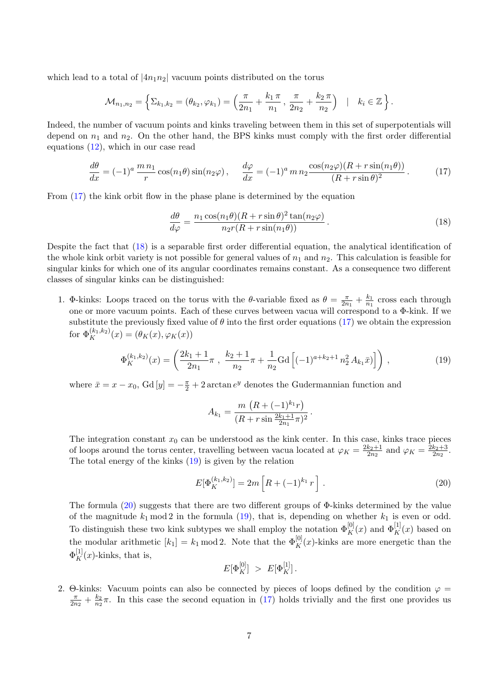which lead to a total of  $|4n_1n_2|$  vacuum points distributed on the torus

$$
\mathcal{M}_{n_1,n_2} = \left\{ \Sigma_{k_1,k_2} = (\theta_{k_2}, \varphi_{k_1}) = \left( \frac{\pi}{2n_1} + \frac{k_1 \pi}{n_1}, \frac{\pi}{2n_2} + \frac{k_2 \pi}{n_2} \right) \mid k_i \in \mathbb{Z} \right\}.
$$

Indeed, the number of vacuum points and kinks traveling between them in this set of superpotentials will depend on  $n_1$  and  $n_2$ . On the other hand, the BPS kinks must comply with the first order differential equations [\(12\)](#page-4-2), which in our case read

<span id="page-6-0"></span>
$$
\frac{d\theta}{dx} = (-1)^a \frac{m n_1}{r} \cos(n_1 \theta) \sin(n_2 \varphi), \quad \frac{d\varphi}{dx} = (-1)^a m n_2 \frac{\cos(n_2 \varphi)(R + r \sin(n_1 \theta))}{(R + r \sin \theta)^2}.
$$
(17)

From [\(17\)](#page-6-0) the kink orbit flow in the phase plane is determined by the equation

<span id="page-6-1"></span>
$$
\frac{d\theta}{d\varphi} = \frac{n_1 \cos(n_1 \theta)(R + r \sin \theta)^2 \tan(n_2 \varphi)}{n_2 r (R + r \sin(n_1 \theta))}.
$$
\n(18)

Despite the fact that [\(18\)](#page-6-1) is a separable first order differential equation, the analytical identification of the whole kink orbit variety is not possible for general values of  $n_1$  and  $n_2$ . This calculation is feasible for singular kinks for which one of its angular coordinates remains constant. As a consequence two different classes of singular kinks can be distinguished:

1. Φ-kinks: Loops traced on the torus with the  $\theta$ -variable fixed as  $\theta = \frac{\pi}{2n}$  $\frac{\pi}{2n_1} + \frac{k_1}{n_1}$  $\frac{k_1}{n_1}$  cross each through one or more vacuum points. Each of these curves between vacua will correspond to a Φ-kink. If we substitute the previously fixed value of  $\theta$  into the first order equations [\(17\)](#page-6-0) we obtain the expression for  $\Phi_K^{(k_1,k_2)}(x) = (\theta_K(x), \varphi_K(x))$ 

<span id="page-6-2"></span>
$$
\Phi_K^{(k_1,k_2)}(x) = \left(\frac{2k_1+1}{2n_1}\pi \ , \ \frac{k_2+1}{n_2}\pi + \frac{1}{n_2}\text{Gd}\left[(-1)^{a+k_2+1}n_2^2 A_{k_1}\bar{x}\right]\right) \,,\tag{19}
$$

where  $\bar{x} = x - x_0$ , Gd  $[y] = -\frac{\pi}{2} + 2 \arctan e^y$  denotes the Gudermannian function and

$$
A_{k_1} = \frac{m\left(R + (-1)^{k_1}r\right)}{(R + r\sin\frac{2k_1+1}{2n_1}\pi)^2}.
$$

The integration constant  $x_0$  can be understood as the kink center. In this case, kinks trace pieces of loops around the torus center, travelling between vacua located at  $\varphi_K = \frac{2k_2+1}{2n_2}$  $\frac{k_2+1}{2n_2}$  and  $\varphi_K = \frac{2k_2+3}{2n_2}$  $\frac{k_2+3}{2n_2}$ . The total energy of the kinks [\(19\)](#page-6-2) is given by the relation

<span id="page-6-3"></span>
$$
E[\Phi_K^{(k_1,k_2)}] = 2m \left[ R + (-1)^{k_1} r \right]. \tag{20}
$$

The formula  $(20)$  suggests that there are two different groups of  $\Phi$ -kinks determined by the value of the magnitude  $k_1 \mod 2$  in the formula [\(19\)](#page-6-2), that is, depending on whether  $k_1$  is even or odd. To distinguish these two kink subtypes we shall employ the notation  $\Phi_K^{[0]}(x)$  and  $\Phi_K^{[1]}(x)$  based on the modular arithmetic  $[k_1] = k_1 \mod 2$ . Note that the  $\Phi_K^{[0]}(x)$ -kinks are more energetic than the  $\Phi_K^{[1]}(x)$ -kinks, that is,

$$
E[\Phi_K^{[0]}] \ > \ E[\Phi_K^{[1]}].
$$

2. Θ-kinks: Vacuum points can also be connected by pieces of loops defined by the condition  $\varphi =$ π  $\frac{\pi}{2n_2}+\frac{k_2}{n_2}$  $\frac{k_2}{n_2}\pi$ . In this case the second equation in [\(17\)](#page-6-0) holds trivially and the first one provides us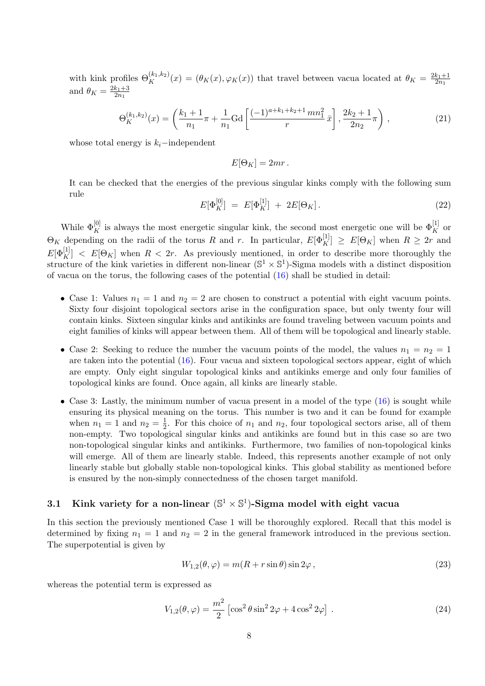with kink profiles  $\Theta_K^{(k_1,k_2)}(x) = (\theta_K(x), \varphi_K(x))$  that travel between vacua located at  $\theta_K = \frac{2k_1+1}{2n_1}$  $\overline{2n_1}$ and  $\theta_K = \frac{2k_1+3}{2n_1}$  $_{2n_1}$ 

<span id="page-7-2"></span>
$$
\Theta_K^{(k_1,k_2)}(x) = \left(\frac{k_1+1}{n_1}\pi + \frac{1}{n_1}\text{Gd}\left[\frac{(-1)^{a+k_1+k_2+1}mn_1^2}{r}\bar{x}\right], \frac{2k_2+1}{2n_2}\pi\right),\tag{21}
$$

whose total energy is  $k_i$ –independent

$$
E[\Theta_K] = 2mr.
$$

It can be checked that the energies of the previous singular kinks comply with the following sum rule

<span id="page-7-1"></span>
$$
E[\Phi_K^{[0]}] = E[\Phi_K^{[1]}] + 2E[\Theta_K]. \tag{22}
$$

While  $\Phi_K^{[0]}$  is always the most energetic singular kink, the second most energetic one will be  $\Phi_K^{[1]}$  or  $\Theta_K$  depending on the radii of the torus R and r. In particular,  $E[\Phi_K^{[1]}] \geq E[\Theta_K]$  when  $R \geq 2r$  and  $E[\Phi_K^{[1]}] < E[\Theta_K]$  when  $R < 2r$ . As previously mentioned, in order to describe more thoroughly the structure of the kink varieties in different non-linear  $(\mathbb{S}^1 \times \mathbb{S}^1)$ -Sigma models with a distinct disposition of vacua on the torus, the following cases of the potential  $(16)$  shall be studied in detail:

- Case 1: Values  $n_1 = 1$  and  $n_2 = 2$  are chosen to construct a potential with eight vacuum points. Sixty four disjoint topological sectors arise in the configuration space, but only twenty four will contain kinks. Sixteen singular kinks and antikinks are found traveling between vacuum points and eight families of kinks will appear between them. All of them will be topological and linearly stable.
- Case 2: Seeking to reduce the number the vacuum points of the model, the values  $n_1 = n_2 = 1$ are taken into the potential [\(16\)](#page-5-3). Four vacua and sixteen topological sectors appear, eight of which are empty. Only eight singular topological kinks and antikinks emerge and only four families of topological kinks are found. Once again, all kinks are linearly stable.
- Case 3: Lastly, the minimum number of vacua present in a model of the type  $(16)$  is sought while ensuring its physical meaning on the torus. This number is two and it can be found for example when  $n_1 = 1$  and  $n_2 = \frac{1}{2}$  $\frac{1}{2}$ . For this choice of  $n_1$  and  $n_2$ , four topological sectors arise, all of them non-empty. Two topological singular kinks and antikinks are found but in this case so are two non-topological singular kinks and antikinks. Furthermore, two families of non-topological kinks will emerge. All of them are linearly stable. Indeed, this represents another example of not only linearly stable but globally stable non-topological kinks. This global stability as mentioned before is ensured by the non-simply connectedness of the chosen target manifold.

### 3.1 Kink variety for a non-linear  $(\mathbb{S}^1 \times \mathbb{S}^1)$ -Sigma model with eight vacua

In this section the previously mentioned Case 1 will be thoroughly explored. Recall that this model is determined by fixing  $n_1 = 1$  and  $n_2 = 2$  in the general framework introduced in the previous section. The superpotential is given by

$$
W_{1,2}(\theta,\varphi) = m(R + r\sin\theta)\sin 2\varphi, \qquad (23)
$$

whereas the potential term is expressed as

<span id="page-7-0"></span>
$$
V_{1,2}(\theta,\varphi) = \frac{m^2}{2} \left[ \cos^2 \theta \sin^2 2\varphi + 4 \cos^2 2\varphi \right].
$$
 (24)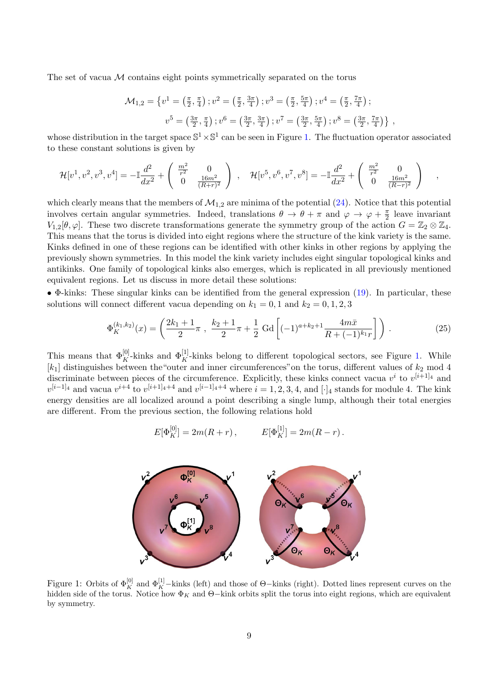The set of vacua  $M$  contains eight points symmetrically separated on the torus

$$
\mathcal{M}_{1,2} = \left\{ v^1 = \left( \frac{\pi}{2}, \frac{\pi}{4} \right) ; v^2 = \left( \frac{\pi}{2}, \frac{3\pi}{4} \right) ; v^3 = \left( \frac{\pi}{2}, \frac{5\pi}{4} \right) ; v^4 = \left( \frac{\pi}{2}, \frac{7\pi}{4} \right) ;
$$

$$
v^5 = \left( \frac{3\pi}{2}, \frac{\pi}{4} \right) ; v^6 = \left( \frac{3\pi}{2}, \frac{3\pi}{4} \right) ; v^7 = \left( \frac{3\pi}{2}, \frac{5\pi}{4} \right) ; v^8 = \left( \frac{3\pi}{2}, \frac{7\pi}{4} \right) \right\} ,
$$

whose distribution in the target space  $\mathbb{S}^1 \times \mathbb{S}^1$  can be seen in Figure [1.](#page-8-0) The fluctuation operator associated to these constant solutions is given by

$$
\mathcal{H}[v^1, v^2, v^3, v^4] = -\mathbb{I}\frac{d^2}{dx^2} + \begin{pmatrix} \frac{m^2}{r^2} & 0\\ 0 & \frac{16m^2}{(R+r)^2} \end{pmatrix}, \quad \mathcal{H}[v^5, v^6, v^7, v^8] = -\mathbb{I}\frac{d^2}{dx^2} + \begin{pmatrix} \frac{m^2}{r^2} & 0\\ 0 & \frac{16m^2}{(R-r)^2} \end{pmatrix},
$$

which clearly means that the members of  $\mathcal{M}_{1,2}$  are minima of the potential [\(24\)](#page-7-0). Notice that this potential involves certain angular symmetries. Indeed, translations  $\theta \to \theta + \pi$  and  $\varphi \to \varphi + \frac{\pi}{2}$  $\frac{\pi}{2}$  leave invariant  $V_{1,2}[\theta,\varphi]$ . These two discrete transformations generate the symmetry group of the action  $G = \mathbb{Z}_2 \otimes \mathbb{Z}_4$ . This means that the torus is divided into eight regions where the structure of the kink variety is the same. Kinks defined in one of these regions can be identified with other kinks in other regions by applying the previously shown symmetries. In this model the kink variety includes eight singular topological kinks and antikinks. One family of topological kinks also emerges, which is replicated in all previously mentioned equivalent regions. Let us discuss in more detail these solutions:

• Φ-kinks: These singular kinks can be identified from the general expression [\(19\)](#page-6-2). In particular, these solutions will connect different vacua depending on  $k_1 = 0, 1$  and  $k_2 = 0, 1, 2, 3$ 

$$
\Phi_K^{(k_1,k_2)}(x) = \left(\frac{2k_1+1}{2}\pi , \frac{k_2+1}{2}\pi + \frac{1}{2}\text{ Gd}\left[(-1)^{a+k_2+1}\frac{4m\bar{x}}{R+(-1)^{k_1}r}\right]\right). \tag{25}
$$

This means that  $\Phi_K^{[0]}$ -kinks and  $\Phi_K^{[1]}$ -kinks belong to different topological sectors, see Figure [1.](#page-8-0) While  $[k_1]$  distinguishes between the "outer and inner circumferences" on the torus, different values of  $k_2$  mod 4 discriminate between pieces of the circumference. Explicitly, these kinks connect vacua  $v^i$  to  $v^{[i+1]_4}$  and  $v^{[i-1]_4}$  and vacua  $v^{i+4}$  to  $v^{[i+1]_4+4}$  and  $v^{[i-1]_4+4}$  where  $i=1,2,3,4$ , and  $[\cdot]_4$  stands for module 4. The kink energy densities are all localized around a point describing a single lump, although their total energies are different. From the previous section, the following relations hold

$$
E[\Phi_K^{[0]}] = 2m(R+r),
$$
  $E[\Phi_K^{[1]}] = 2m(R-r).$ 



<span id="page-8-0"></span>Figure 1: Orbits of  $\Phi_K^{[0]}$  and  $\Phi_K^{[1]}$ -kinks (left) and those of  $\Theta$ -kinks (right). Dotted lines represent curves on the hidden side of the torus. Notice how  $\Phi_K$  and  $\Theta$ –kink orbits split the torus into eight regions, which are equivalent by symmetry.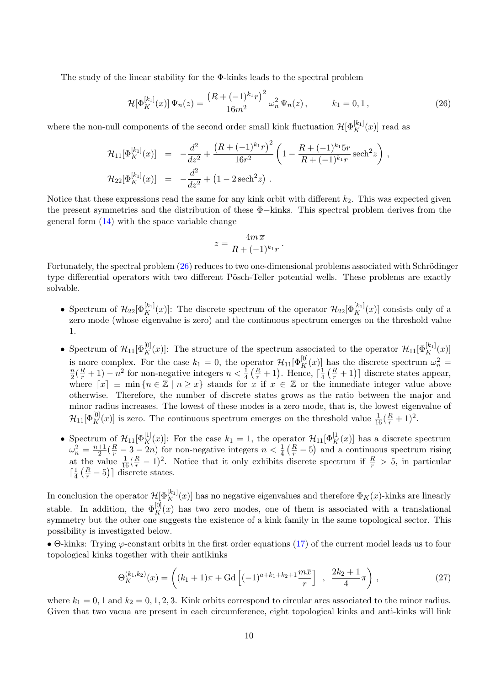The study of the linear stability for the Φ-kinks leads to the spectral problem

<span id="page-9-0"></span>
$$
\mathcal{H}[\Phi_K^{[k_1]}(x)]\,\Psi_n(z) = \frac{\left(R + (-1)^{k_1}r\right)^2}{16m^2}\,\omega_n^2\,\Psi_n(z)\,,\qquad k_1 = 0, 1\,,\tag{26}
$$

where the non-null components of the second order small kink fluctuation  $\mathcal{H}[\Phi_K^{[k_1]}(x)]$  read as

$$
\mathcal{H}_{11}[\Phi_K^{[k_1]}(x)] = -\frac{d^2}{dz^2} + \frac{\left(R + (-1)^{k_1}r\right)^2}{16r^2} \left(1 - \frac{R + (-1)^{k_1}5r}{R + (-1)^{k_1}r} \operatorname{sech}^2 z\right),
$$
  

$$
\mathcal{H}_{22}[\Phi_K^{[k_1]}(x)] = -\frac{d^2}{dz^2} + \left(1 - 2\operatorname{sech}^2 z\right).
$$

Notice that these expressions read the same for any kink orbit with different  $k_2$ . This was expected given the present symmetries and the distribution of these Φ−kinks. This spectral problem derives from the general form  $(14)$  with the space variable change

$$
z = \frac{4m\,\overline{x}}{R + (-1)^{k_1}r}.
$$

Fortunately, the spectral problem  $(26)$  reduces to two one-dimensional problems associated with Schrödinger type differential operators with two different Pösch-Teller potential wells. These problems are exactly solvable.

- Spectrum of  $\mathcal{H}_{22}[\Phi_K^{[k_1]}(x)]$ : The discrete spectrum of the operator  $\mathcal{H}_{22}[\Phi_K^{[k_1]}(x)]$  consists only of a zero mode (whose eigenvalue is zero) and the continuous spectrum emerges on the threshold value 1.
- Spectrum of  $\mathcal{H}_{11}[\Phi_K^{[0]}(x)]$ : The structure of the spectrum associated to the operator  $\mathcal{H}_{11}[\Phi_K^{[k_1]}(x)]$ is more complex. For the case  $k_1 = 0$ , the operator  $\mathcal{H}_{11}[\Phi_K^{[0]}(x)]$  has the discrete spectrum  $\omega_n^2 = \frac{n(R+1)}{R+1} \omega_1^2$  for non-negative integers  $n \geq \frac{1}{R+1} \omega_1^2$ . Hence,  $\frac{1}{R+1} \omega_1^2$  discrete states app  $\frac{n}{2}(\frac{R}{r}+1)-n^2$  for non-negative integers  $n<\frac{1}{4}(\frac{R}{r}+1)$ . Hence,  $\lceil \frac{1}{4} \rceil$  $\frac{1}{4}(\frac{R}{r}+1)$  discrete states appear, where  $[x] \equiv \min\{n \in \mathbb{Z} \mid n \geq x\}$  stands for x if  $x \in \mathbb{Z}$  or the immediate integer value above otherwise. Therefore, the number of discrete states grows as the ratio between the major and minor radius increases. The lowest of these modes is a zero mode, that is, the lowest eigenvalue of  $\mathcal{H}_{11}[\Phi_K^{[0]}(x)]$  is zero. The continuous spectrum emerges on the threshold value  $\frac{1}{16}(\frac{R}{r}+1)^2$ .
- Spectrum of  $\mathcal{H}_{11}[\Phi_K^{[1]}(x)]$ : For the case  $k_1 = 1$ , the operator  $\mathcal{H}_{11}[\Phi_K^{[1]}(x)]$  has a discrete spectrum  $\omega_n^2 = \frac{n+1}{2}$  $\frac{1}{2}(\frac{R}{r}-3-2n)$  for non-negative integers  $n<\frac{1}{4}(\frac{R}{r}-5)$  and a continuous spectrum rising at the value  $\frac{1}{16}(\frac{R}{r}-1)^2$ . Notice that it only exhibits discrete spectrum if  $\frac{R}{r} > 5$ , in particular  $\lceil \frac{1}{4} \rceil$  $\frac{1}{4} \left( \frac{R}{r} - 5 \right)$  discrete states.

In conclusion the operator  $\mathcal{H}[\Phi_K^{[k_1]}(x)]$  has no negative eigenvalues and therefore  $\Phi_K(x)$ -kinks are linearly stable. In addition, the  $\Phi_K^{[0]}(x)$  has two zero modes, one of them is associated with a translational symmetry but the other one suggests the existence of a kink family in the same topological sector. This possibility is investigated below.

• Θ-kinks: Trying  $\varphi$ -constant orbits in the first order equations [\(17\)](#page-6-0) of the current model leads us to four topological kinks together with their antikinks

$$
\Theta_K^{(k_1,k_2)}(x) = \left( (k_1 + 1)\pi + \text{Gd}\left[ (-1)^{a+k_1+k_2+1} \frac{m\bar{x}}{r} \right] , \frac{2k_2 + 1}{4}\pi \right), \tag{27}
$$

where  $k_1 = 0, 1$  and  $k_2 = 0, 1, 2, 3$ . Kink orbits correspond to circular arcs associated to the minor radius. Given that two vacua are present in each circumference, eight topological kinks and anti-kinks will link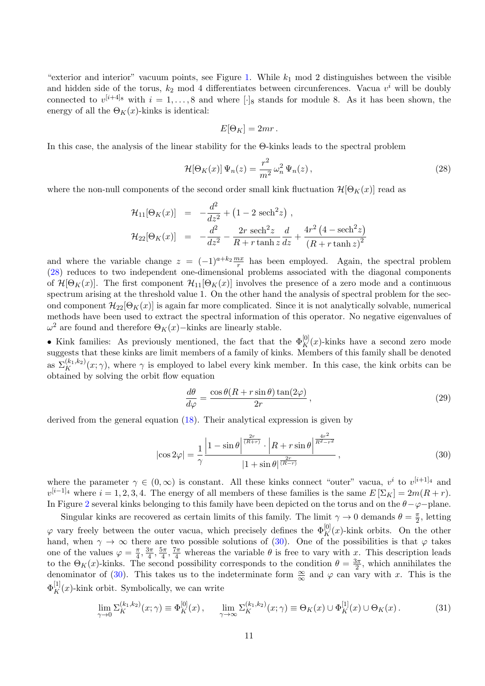"exterior and interior" vacuum points, see Figure [1.](#page-8-0) While  $k_1$  mod 2 distinguishes between the visible and hidden side of the torus,  $k_2$  mod 4 differentiates between circunferences. Vacua  $v^i$  will be doubly connected to  $v^{[i+4]_8}$  with  $i = 1, \ldots, 8$  and where [·]<sub>8</sub> stands for module 8. As it has been shown, the energy of all the  $\Theta_K(x)$ -kinks is identical:

$$
E[\Theta_K] = 2mr.
$$

In this case, the analysis of the linear stability for the Θ-kinks leads to the spectral problem

<span id="page-10-0"></span>
$$
\mathcal{H}[\Theta_K(x)]\,\Psi_n(z) = \frac{r^2}{m^2}\,\omega_n^2\,\Psi_n(z)\,,\tag{28}
$$

where the non-null components of the second order small kink fluctuation  $\mathcal{H}[\Theta_K(x)]$  read as

$$
\mathcal{H}_{11}[\Theta_K(x)] = -\frac{d^2}{dz^2} + (1 - 2 \operatorname{sech}^2 z) ,
$$
  

$$
\mathcal{H}_{22}[\Theta_K(x)] = -\frac{d^2}{dz^2} - \frac{2r \operatorname{sech}^2 z}{R + r \tanh z} \frac{d}{dz} + \frac{4r^2 (4 - \operatorname{sech}^2 z)}{(R + r \tanh z)^2}
$$

and where the variable change  $z = (-1)^{a+k_2} \frac{mx}{r}$  has been employed. Again, the spectral problem [\(28\)](#page-10-0) reduces to two independent one-dimensional problems associated with the diagonal components of  $\mathcal{H}[\Theta_K(x)]$ . The first component  $\mathcal{H}_{11}[\Theta_K(x)]$  involves the presence of a zero mode and a continuous spectrum arising at the threshold value 1. On the other hand the analysis of spectral problem for the second component  $\mathcal{H}_{22}[\Theta_K(x)]$  is again far more complicated. Since it is not analytically solvable, numerical methods have been used to extract the spectral information of this operator. No negative eigenvalues of  $\omega^2$  are found and therefore  $\Theta_K(x)$ –kinks are linearly stable.

• Kink families: As previously mentioned, the fact that the  $\Phi_K^{[0]}(x)$ -kinks have a second zero mode suggests that these kinks are limit members of a family of kinks. Members of this family shall be denoted as  $\Sigma_K^{(k_1,k_2)}(x;\gamma)$ , where  $\gamma$  is employed to label every kink member. In this case, the kink orbits can be obtained by solving the orbit flow equation

$$
\frac{d\theta}{d\varphi} = \frac{\cos\theta (R + r\sin\theta)\tan(2\varphi)}{2r},\tag{29}
$$

derived from the general equation [\(18\)](#page-6-1). Their analytical expression is given by

<span id="page-10-1"></span>
$$
|\cos 2\varphi| = \frac{1}{\gamma} \frac{\left|1 - \sin \theta\right|^{\frac{2r}{(R+r)}} \cdot \left|R + r \sin \theta\right|^{\frac{4r^2}{R^2 - r^2}}}{|1 + \sin \theta|^{\frac{2r}{(R-r)}}},\tag{30}
$$

where the parameter  $\gamma \in (0,\infty)$  is constant. All these kinks connect "outer" vacua,  $v^i$  to  $v^{[i+1]_4}$  and  $v^{[i-1]_4}$  where  $i = 1, 2, 3, 4$ . The energy of all members of these families is the same  $E[\Sigma_K] = 2m(R + r)$ . In Figure [2](#page-11-0) several kinks belonging to this family have been depicted on the torus and on the  $\theta-\varphi$ -plane.

Singular kinks are recovered as certain limits of this family. The limit  $\gamma \to 0$  demands  $\theta = \frac{\pi}{2}$  $\frac{\pi}{2}$ , letting  $\varphi$  vary freely between the outer vacua, which precisely defines the  $\Phi_K^{[0]}(x)$ -kink orbits. On the other hand, when  $\gamma \to \infty$  there are two possible solutions of [\(30\)](#page-10-1). One of the possibilities is that  $\varphi$  takes one of the values  $\varphi = \frac{\pi}{4}$  $\frac{\pi}{4}, \frac{3\pi}{4}$  $\frac{3\pi}{4}, \frac{5\pi}{4}$  $\frac{5\pi}{4}$ ,  $\frac{7\pi}{4}$  whereas the variable  $\theta$  is free to vary with x. This description leads to the  $\Theta_K(x)$ -kinks. The second possibility corresponds to the condition  $\theta = \frac{3\pi}{2}$  $\frac{3\pi}{2}$ , which annihilates the denominator of [\(30\)](#page-10-1). This takes us to the indeterminate form  $\frac{\infty}{\infty}$  and  $\varphi$  can vary with x. This is the  $\Phi_K^{[1]}(x)$ -kink orbit. Symbolically, we can write

<span id="page-10-2"></span>
$$
\lim_{\gamma \to 0} \Sigma_K^{(k_1, k_2)}(x; \gamma) \equiv \Phi_K^{[0]}(x) \,, \qquad \lim_{\gamma \to \infty} \Sigma_K^{(k_1, k_2)}(x; \gamma) \equiv \Theta_K(x) \cup \Phi_K^{[1]}(x) \cup \Theta_K(x) \,. \tag{31}
$$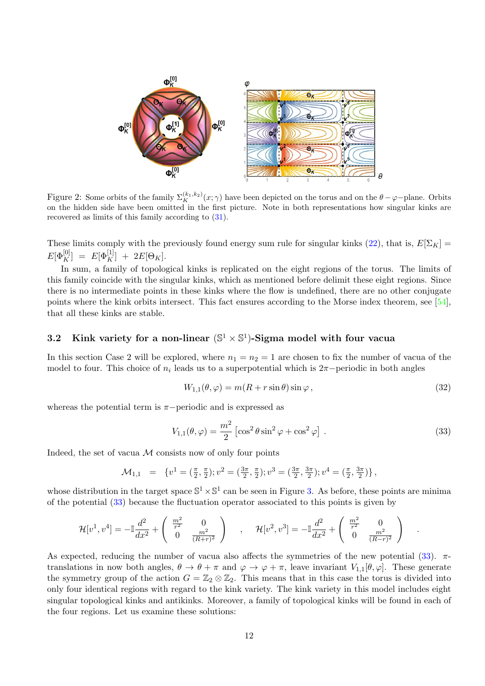

<span id="page-11-0"></span>Figure 2: Some orbits of the family  $\Sigma_K^{(k_1,k_2)}(x;\gamma)$  have been depicted on the torus and on the  $\theta-\varphi$ -plane. Orbits on the hidden side have been omitted in the first picture. Note in both representations how singular kinks are recovered as limits of this family according to [\(31\)](#page-10-2).

These limits comply with the previously found energy sum rule for singular kinks [\(22\)](#page-7-1), that is,  $E[\Sigma_K]$  =  $E[\Phi_K^{[0]}] \;=\; E[\Phi_K^{[1]}] \;+\; 2 E[\Theta_K].$ 

In sum, a family of topological kinks is replicated on the eight regions of the torus. The limits of this family coincide with the singular kinks, which as mentioned before delimit these eight regions. Since there is no intermediate points in these kinks where the flow is undefined, there are no other conjugate points where the kink orbits intersect. This fact ensures according to the Morse index theorem, see [\[54\]](#page-21-10), that all these kinks are stable.

### 3.2 Kink variety for a non-linear  $(\mathbb{S}^1 \times \mathbb{S}^1)$ -Sigma model with four vacua

In this section Case 2 will be explored, where  $n_1 = n_2 = 1$  are chosen to fix the number of vacua of the model to four. This choice of  $n_i$  leads us to a superpotential which is  $2\pi$ -periodic in both angles

<span id="page-11-2"></span>
$$
W_{1,1}(\theta,\varphi) = m(R + r\sin\theta)\sin\varphi, \qquad (32)
$$

whereas the potential term is  $\pi$ −periodic and is expressed as

<span id="page-11-1"></span>
$$
V_{1,1}(\theta,\varphi) = \frac{m^2}{2} \left[ \cos^2 \theta \sin^2 \varphi + \cos^2 \varphi \right].
$$
 (33)

.

Indeed, the set of vacua  $M$  consists now of only four points

$$
\mathcal{M}_{1,1} = \{v^1 = (\frac{\pi}{2}, \frac{\pi}{2}); v^2 = (\frac{3\pi}{2}, \frac{\pi}{2}); v^3 = (\frac{3\pi}{2}, \frac{3\pi}{2}); v^4 = (\frac{\pi}{2}, \frac{3\pi}{2})\},
$$

whose distribution in the target space  $\mathbb{S}^1 \times \mathbb{S}^1$  can be seen in Figure [3.](#page-12-0) As before, these points are minima of the potential [\(33\)](#page-11-1) because the fluctuation operator associated to this points is given by

$$
\mathcal{H}[v^1, v^4] = -\mathbb{I}\frac{d^2}{dx^2} + \begin{pmatrix} \frac{m^2}{r^2} & 0\\ 0 & \frac{m^2}{(R+r)^2} \end{pmatrix} , \quad \mathcal{H}[v^2, v^3] = -\mathbb{I}\frac{d^2}{dx^2} + \begin{pmatrix} \frac{m^2}{r^2} & 0\\ 0 & \frac{m^2}{(R-r)^2} \end{pmatrix}
$$

As expected, reducing the number of vacua also affects the symmetries of the new potential  $(33)$ .  $\pi$ translations in now both angles,  $\theta \to \theta + \pi$  and  $\varphi \to \varphi + \pi$ , leave invariant  $V_{1,1}[\theta, \varphi]$ . These generate the symmetry group of the action  $G = \mathbb{Z}_2 \otimes \mathbb{Z}_2$ . This means that in this case the torus is divided into only four identical regions with regard to the kink variety. The kink variety in this model includes eight singular topological kinks and antikinks. Moreover, a family of topological kinks will be found in each of the four regions. Let us examine these solutions: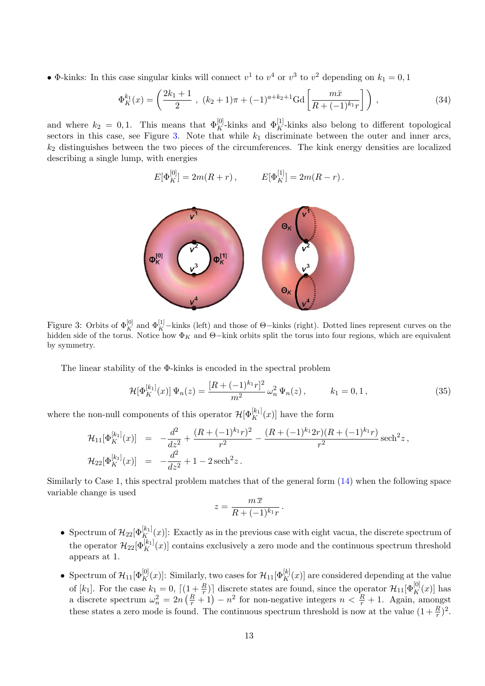• Φ-kinks: In this case singular kinks will connect  $v^1$  to  $v^4$  or  $v^3$  to  $v^2$  depending on  $k_1 = 0, 1$ 

$$
\Phi_K^{k_1}(x) = \left(\frac{2k_1 + 1}{2}, \ (k_2 + 1)\pi + (-1)^{a+k_2+1} \text{Gd}\left[\frac{m\bar{x}}{R + (-1)^{k_1}r}\right]\right),\tag{34}
$$

and where  $k_2 = 0, 1$ . This means that  $\Phi_K^{[0]}$ -kinks and  $\Phi_K^{[1]}$ -kinks also belong to different topological sectors in this case, see Figure [3.](#page-12-0) Note that while  $k_1$  discriminate between the outer and inner arcs,  $k_2$  distinguishes between the two pieces of the circumferences. The kink energy densities are localized describing a single lump, with energies

$$
E[\Phi_K^{[0]}] = 2m(R+r), \qquad E[\Phi_K^{[1]}] = 2m(R-r).
$$



<span id="page-12-0"></span>Figure 3: Orbits of  $\Phi_K^{[0]}$  and  $\Phi_K^{[1]}$ -kinks (left) and those of  $\Theta$ -kinks (right). Dotted lines represent curves on the hidden side of the torus. Notice how  $\Phi_K$  and  $\Theta$ –kink orbits split the torus into four regions, which are equivalent by symmetry.

The linear stability of the Φ-kinks is encoded in the spectral problem

$$
\mathcal{H}[\Phi_K^{[k_1]}(x)]\Psi_n(z) = \frac{[R + (-1)^{k_1}r]^2}{m^2}\,\omega_n^2\,\Psi_n(z)\,,\qquad k_1 = 0, 1\,,\tag{35}
$$

where the non-null components of this operator  $\mathcal{H}[\Phi_K^{[k_1]}(x)]$  have the form

$$
\mathcal{H}_{11}[\Phi_K^{[k_1]}(x)] = -\frac{d^2}{dz^2} + \frac{(R + (-1)^{k_1}r)^2}{r^2} - \frac{(R + (-1)^{k_1}2r)(R + (-1)^{k_1}r)}{r^2}\operatorname{sech}^2 z,
$$
  

$$
\mathcal{H}_{22}[\Phi_K^{[k_1]}(x)] = -\frac{d^2}{dz^2} + 1 - 2\operatorname{sech}^2 z.
$$

Similarly to Case 1, this spectral problem matches that of the general form [\(14\)](#page-5-1) when the following space variable change is used

$$
z = \frac{m\,\overline{x}}{R + (-1)^{k_1}r}.
$$

- Spectrum of  $\mathcal{H}_{22}[\Phi_K^{[k_1]}(x)]$ : Exactly as in the previous case with eight vacua, the discrete spectrum of the operator  $\mathcal{H}_{22}[\Phi_K^{[k_1]}(x)]$  contains exclusively a zero mode and the continuous spectrum threshold appears at 1.
- Spectrum of  $\mathcal{H}_{11}[\Phi_K^{[0]}(x)]$ : Similarly, two cases for  $\mathcal{H}_{11}[\Phi_K^{[k]}(x)]$  are considered depending at the value of  $[k_1]$ . For the case  $k_1 = 0$ ,  $\lceil (1 + \frac{R}{r}) \rceil$  discrete states are found, since the operator  $\mathcal{H}_{11}[\Phi_K^{[0]}(x)]$  has a discrete spectrum  $\omega_n^2 = 2n\left(\frac{R}{r}+1\right) - n^2$  for non-negative integers  $n < \frac{R}{r} + 1$ . Again, amongst these states a zero mode is found. The continuous spectrum threshold is now at the value  $(1 + \frac{R}{r})^2$ .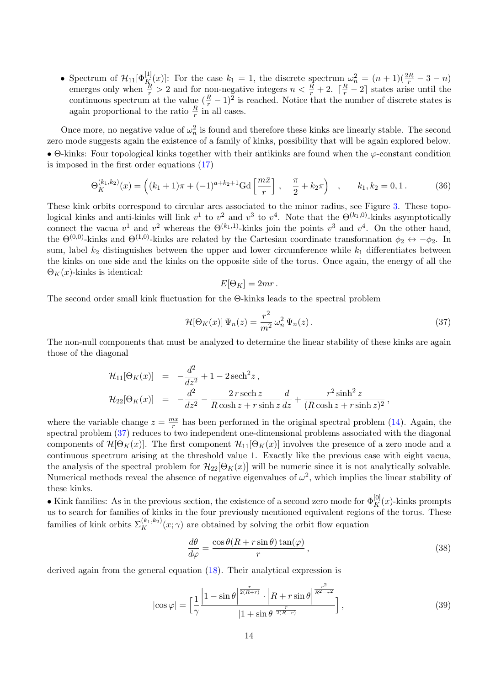• Spectrum of  $\mathcal{H}_{11}[\Phi_K^{[1]}(x)]$ : For the case  $k_1 = 1$ , the discrete spectrum  $\omega_n^2 = (n+1)(\frac{2R}{r} - 3 - n)$ emerges only when  $\frac{R}{r} > 2$  and for non-negative integers  $n < \frac{R}{r} + 2$ .  $\lceil \frac{R}{r} - 2 \rceil$  states arise until the continuous spectrum at the value  $(\frac{R}{r} - 1)^2$  is reached. Notice that the number of discrete states is again proportional to the ratio  $\frac{R}{r}$  in all cases.

Once more, no negative value of  $\omega_n^2$  is found and therefore these kinks are linearly stable. The second zero mode suggests again the existence of a family of kinks, possibility that will be again explored below. • Θ-kinks: Four topological kinks together with their antikinks are found when the  $\varphi$ -constant condition is imposed in the first order equations [\(17\)](#page-6-0)

$$
\Theta_K^{(k_1,k_2)}(x) = \left( (k_1 + 1)\pi + (-1)^{a+k_2+1} \text{Gd}\left[\frac{m\bar{x}}{r}\right], \quad \frac{\pi}{2} + k_2 \pi \right) , \quad k_1, k_2 = 0, 1. \tag{36}
$$

These kink orbits correspond to circular arcs associated to the minor radius, see Figure [3.](#page-12-0) These topological kinks and anti-kinks will link  $v^1$  to  $v^2$  and  $v^3$  to  $v^4$ . Note that the  $\Theta^{(k_1,0)}$ -kinks asymptotically connect the vacua  $v^1$  and  $v^2$  whereas the  $\Theta^{(k_1,1)}$ -kinks join the points  $v^3$  and  $v^4$ . On the other hand, the  $\Theta^{(0,0)}$ -kinks and  $\Theta^{(1,0)}$ -kinks are related by the Cartesian coordinate transformation  $\phi_2 \leftrightarrow -\phi_2$ . In sum, label  $k_2$  distinguishes between the upper and lower circumference while  $k_1$  differentiates between the kinks on one side and the kinks on the opposite side of the torus. Once again, the energy of all the  $\Theta_K(x)$ -kinks is identical:

$$
E[\Theta_K] = 2mr.
$$

The second order small kink fluctuation for the Θ-kinks leads to the spectral problem

<span id="page-13-0"></span>
$$
\mathcal{H}[\Theta_K(x)]\,\Psi_n(z) = \frac{r^2}{m^2}\,\omega_n^2\,\Psi_n(z)\,. \tag{37}
$$

The non-null components that must be analyzed to determine the linear stability of these kinks are again those of the diagonal

$$
\mathcal{H}_{11}[\Theta_K(x)] = -\frac{d^2}{dz^2} + 1 - 2\operatorname{sech}^2 z ,
$$
  
\n
$$
\mathcal{H}_{22}[\Theta_K(x)] = -\frac{d^2}{dz^2} - \frac{2r \operatorname{sech} z}{R \cosh z + r \sinh z} \frac{d}{dz} + \frac{r^2 \sinh^2 z}{(R \cosh z + r \sinh z)^2},
$$

where the variable change  $z = \frac{mx}{r}$  $\frac{nx}{r}$  has been performed in the original spectral problem [\(14\)](#page-5-1). Again, the spectral problem [\(37\)](#page-13-0) reduces to two independent one-dimensional problems associated with the diagonal components of  $\mathcal{H}[\Theta_K(x)]$ . The first component  $\mathcal{H}_{11}[\Theta_K(x)]$  involves the presence of a zero mode and a continuous spectrum arising at the threshold value 1. Exactly like the previous case with eight vacua, the analysis of the spectral problem for  $\mathcal{H}_{22}[\Theta_K(x)]$  will be numeric since it is not analytically solvable. Numerical methods reveal the absence of negative eigenvalues of  $\omega^2$ , which implies the linear stability of these kinks.

• Kink families: As in the previous section, the existence of a second zero mode for  $\Phi_K^{[0]}(x)$ -kinks prompts us to search for families of kinks in the four previously mentioned equivalent regions of the torus. These families of kink orbits  $\Sigma_K^{(k_1,k_2)}(x;\gamma)$  are obtained by solving the orbit flow equation

$$
\frac{d\theta}{d\varphi} = \frac{\cos\theta (R + r\sin\theta)\tan(\varphi)}{r},\tag{38}
$$

derived again from the general equation [\(18\)](#page-6-1). Their analytical expression is

$$
|\cos\varphi| = \left[\frac{1}{\gamma} \frac{\left|1 - \sin\theta\right|^{\frac{r}{2(R+r)}} \cdot \left|R + r\sin\theta\right|^{\frac{r^2}{R^2 - r^2}}}{|1 + \sin\theta|^{\frac{r}{2(R-r)}}}\right],\tag{39}
$$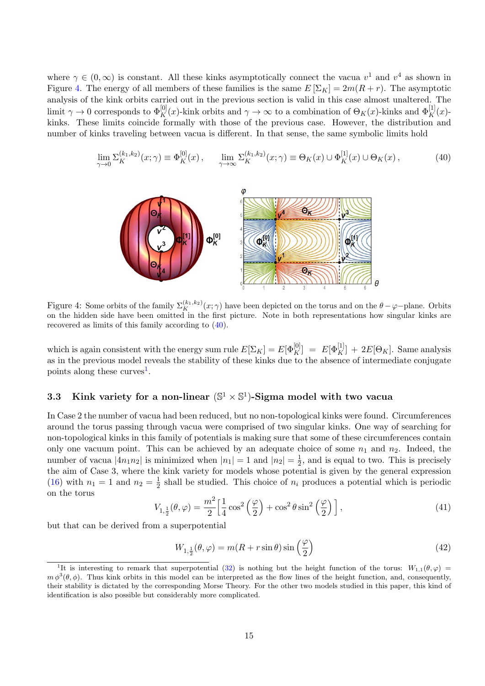where  $\gamma \in (0,\infty)$  is constant. All these kinks asymptotically connect the vacua  $v^1$  and  $v^4$  as shown in Figure [4.](#page-14-0) The energy of all members of these families is the same  $E[\Sigma_K] = 2m(R + r)$ . The asymptotic analysis of the kink orbits carried out in the previous section is valid in this case almost unaltered. The limit  $\gamma \to 0$  corresponds to  $\Phi_K^{[0]}(x)$ -kink orbits and  $\gamma \to \infty$  to a combination of  $\Theta_K(x)$ -kinks and  $\Phi_K^{[1]}(x)$ kinks. These limits coincide formally with those of the previous case. However, the distribution and number of kinks traveling between vacua is different. In that sense, the same symbolic limits hold

<span id="page-14-1"></span>
$$
\lim_{\gamma \to 0} \Sigma_K^{(k_1, k_2)}(x; \gamma) \equiv \Phi_K^{[0]}(x) \,, \qquad \lim_{\gamma \to \infty} \Sigma_K^{(k_1, k_2)}(x; \gamma) \equiv \Theta_K(x) \cup \Phi_K^{[1]}(x) \cup \Theta_K(x) \,, \tag{40}
$$



<span id="page-14-0"></span>Figure 4: Some orbits of the family  $\Sigma_K^{(k_1,k_2)}(x;\gamma)$  have been depicted on the torus and on the  $\theta-\varphi$ -plane. Orbits on the hidden side have been omitted in the first picture. Note in both representations how singular kinks are recovered as limits of this family according to [\(40\)](#page-14-1).

which is again consistent with the energy sum rule  $E[\Sigma_K] = E[\Phi_K^{[0]}] = E[\Phi_K^{[1]}] + 2E[\Theta_K]$ . Same analysis as in the previous model reveals the stability of these kinks due to the absence of intermediate conjugate points along these curves<sup>[1](#page-14-2)</sup>.

### 3.3 Kink variety for a non-linear  $(\mathbb{S}^1 \times \mathbb{S}^1)$ -Sigma model with two vacua

In Case 2 the number of vacua had been reduced, but no non-topological kinks were found. Circumferences around the torus passing through vacua were comprised of two singular kinks. One way of searching for non-topological kinks in this family of potentials is making sure that some of these circumferences contain only one vacuum point. This can be achieved by an adequate choice of some  $n_1$  and  $n_2$ . Indeed, the number of vacua  $|4n_1n_2|$  is minimized when  $|n_1|=1$  and  $|n_2|=\frac{1}{2}$  $\frac{1}{2}$ , and is equal to two. This is precisely the aim of Case 3, where the kink variety for models whose potential is given by the general expression [\(16\)](#page-5-3) with  $n_1 = 1$  and  $n_2 = \frac{1}{2}$  $\frac{1}{2}$  shall be studied. This choice of  $n_i$  produces a potential which is periodic on the torus

$$
V_{1,\frac{1}{2}}(\theta,\varphi) = \frac{m^2}{2} \left[ \frac{1}{4} \cos^2 \left( \frac{\varphi}{2} \right) + \cos^2 \theta \sin^2 \left( \frac{\varphi}{2} \right) \right],\tag{41}
$$

but that can be derived from a superpotential

$$
W_{1,\frac{1}{2}}(\theta,\varphi) = m(R+r\sin\theta)\sin\left(\frac{\varphi}{2}\right)
$$
\n(42)

<span id="page-14-2"></span><sup>&</sup>lt;sup>1</sup>It is interesting to remark that superpotential [\(32\)](#page-11-2) is nothing but the height function of the torus:  $W_{1,1}(\theta,\varphi)$  $m \phi^3(\theta, \phi)$ . Thus kink orbits in this model can be interpreted as the flow lines of the height function, and, consequently, their stability is dictated by the corresponding Morse Theory. For the other two models studied in this paper, this kind of identification is also possible but considerably more complicated.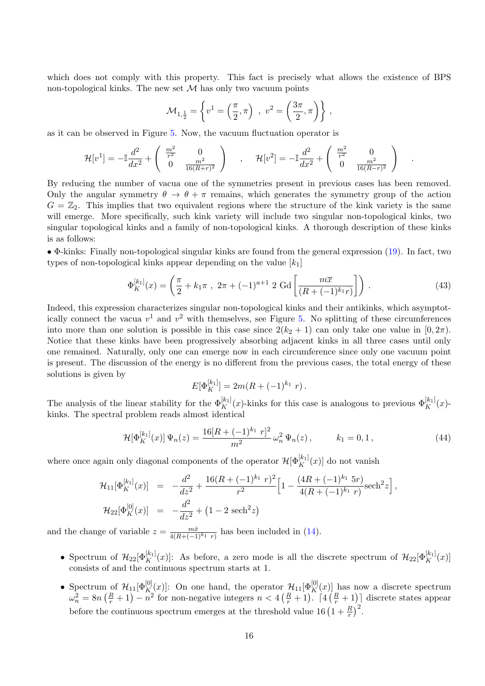which does not comply with this property. This fact is precisely what allows the existence of BPS non-topological kinks. The new set  $\mathcal M$  has only two vacuum points

$$
\mathcal{M}_{1,\frac{1}{2}} = \left\{ v^1 = \left( \frac{\pi}{2}, \pi \right) , v^2 = \left( \frac{3\pi}{2}, \pi \right) \right\},
$$

as it can be observed in Figure [5.](#page-16-0) Now, the vacuum fluctuation operator is

$$
\mathcal{H}[v^1] = -\mathbb{I} \frac{d^2}{dx^2} + \begin{pmatrix} \frac{m^2}{r^2} & 0 \\ 0 & \frac{m^2}{16(R+r)^2} \end{pmatrix} , \quad \mathcal{H}[v^2] = -\mathbb{I} \frac{d^2}{dx^2} + \begin{pmatrix} \frac{m^2}{r^2} & 0 \\ 0 & \frac{m^2}{16(R-r)^2} \end{pmatrix}
$$

By reducing the number of vacua one of the symmetries present in previous cases has been removed. Only the angular symmetry  $\theta \to \theta + \pi$  remains, which generates the symmetry group of the action  $G = \mathbb{Z}_2$ . This implies that two equivalent regions where the structure of the kink variety is the same will emerge. More specifically, such kink variety will include two singular non-topological kinks, two singular topological kinks and a family of non-topological kinks. A thorough description of these kinks is as follows:

• Φ-kinks: Finally non-topological singular kinks are found from the general expression [\(19\)](#page-6-2). In fact, two types of non-topological kinks appear depending on the value  $[k_1]$ 

$$
\Phi_K^{[k_1]}(x) = \left(\frac{\pi}{2} + k_1 \pi , 2\pi + (-1)^{a+1} 2 \text{ Gd} \left[\frac{m\overline{x}}{(R + (-1)^{k_1}r)}\right]\right).
$$
\n(43)

.

Indeed, this expression characterizes singular non-topological kinks and their antikinks, which asymptotically connect the vacua  $v^1$  and  $v^2$  with themselves, see Figure [5.](#page-16-0) No splitting of these circumferences into more than one solution is possible in this case since  $2(k_2 + 1)$  can only take one value in  $[0, 2\pi)$ . Notice that these kinks have been progressively absorbing adjacent kinks in all three cases until only one remained. Naturally, only one can emerge now in each circumference since only one vacuum point is present. The discussion of the energy is no different from the previous cases, the total energy of these solutions is given by

$$
E[\Phi_K^{[k_1]}] = 2m(R + (-1)^{k_1} r).
$$

The analysis of the linear stability for the  $\Phi_K^{[k_1]}(x)$ -kinks for this case is analogous to previous  $\Phi_K^{[k_1]}(x)$ kinks. The spectral problem reads almost identical

$$
\mathcal{H}[\Phi_K^{[k_1]}(x)]\Psi_n(z) = \frac{16[R + (-1)^{k_1}r]^2}{m^2}\,\omega_n^2\,\Psi_n(z)\,,\qquad k_1 = 0, 1\,,\tag{44}
$$

where once again only diagonal components of the operator  $\mathcal{H}[\Phi_K^{[k_1]}(x)]$  do not vanish

$$
\mathcal{H}_{11}[\Phi_K^{[k_1]}(x)] = -\frac{d^2}{dz^2} + \frac{16(R + (-1)^{k_1} r)^2}{r^2} \left[1 - \frac{(4R + (-1)^{k_1} 5r)}{4(R + (-1)^{k_1} r)} \text{sech}^2 z\right],
$$
  

$$
\mathcal{H}_{22}[\Phi_K^{[0]}(x)] = -\frac{d^2}{dz^2} + (1 - 2 \text{ sech}^2 z)
$$

and the change of variable  $z = \frac{m\bar{x}}{4(R + (-1)^{k_1} r)}$  has been included in [\(14\)](#page-5-1).

- Spectrum of  $\mathcal{H}_{22}[\Phi_K^{[k_1]}(x)]$ : As before, a zero mode is all the discrete spectrum of  $\mathcal{H}_{22}[\Phi_K^{[k_1]}(x)]$ consists of and the continuous spectrum starts at 1.
- Spectrum of  $\mathcal{H}_{11}[\Phi_{K}^{[0]}(x)]$ : On one hand, the operator  $\mathcal{H}_{11}[\Phi_{K}^{[0]}(x)]$  has now a discrete spectrum  $\omega_n^2 = 8n\left(\frac{R}{r}+1\right) - n^2$  for non-negative integers  $n < 4\left(\frac{R}{r}+1\right)$ . [4 $\left(\frac{R}{r}+1\right)$ ] discrete states appear before the continuous spectrum emerges at the threshold value 16  $\left(1 + \frac{R}{r}\right)^2$ .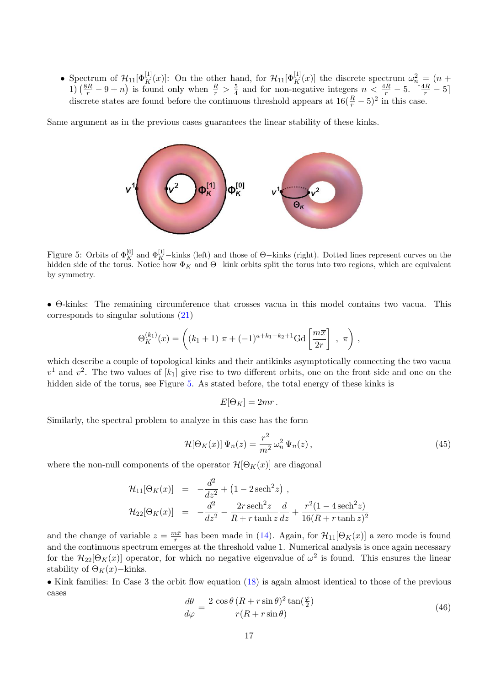• Spectrum of  $\mathcal{H}_{11}[\Phi_K^{[1]}(x)]$ : On the other hand, for  $\mathcal{H}_{11}[\Phi_K^{[1]}(x)]$  the discrete spectrum  $\omega_n^2 = (n +$ 1)  $\left(\frac{8R}{r} - 9 + n\right)$  is found only when  $\frac{R}{r} > \frac{5}{4}$  $\frac{5}{4}$  and for non-negative integers  $n < \frac{4R}{r} - 5$ .  $\lceil \frac{4R}{r} - 5 \rceil$ discrete states are found before the continuous threshold appears at  $16(\frac{R}{r} - 5)^2$  in this case.

Same argument as in the previous cases guarantees the linear stability of these kinks.



<span id="page-16-0"></span>Figure 5: Orbits of  $\Phi_K^{[0]}$  and  $\Phi_K^{[1]}$ -kinks (left) and those of  $\Theta$ -kinks (right). Dotted lines represent curves on the hidden side of the torus. Notice how  $\Phi_K$  and  $\Theta$ –kink orbits split the torus into two regions, which are equivalent by symmetry.

• Θ-kinks: The remaining circumference that crosses vacua in this model contains two vacua. This corresponds to singular solutions [\(21\)](#page-7-2)

$$
\Theta_K^{(k_1)}(x) = \left( (k_1 + 1) \ \pi + (-1)^{a+k_1+k_2+1} \text{Gd} \left[ \frac{m \overline{x}}{2r} \right] , \ \pi \right),
$$

which describe a couple of topological kinks and their antikinks asymptotically connecting the two vacua  $v<sup>1</sup>$  and  $v<sup>2</sup>$ . The two values of  $[k_1]$  give rise to two different orbits, one on the front side and one on the hidden side of the torus, see Figure [5.](#page-16-0) As stated before, the total energy of these kinks is

$$
E[\Theta_K] = 2mr.
$$

Similarly, the spectral problem to analyze in this case has the form

$$
\mathcal{H}[\Theta_K(x)]\,\Psi_n(z) = \frac{r^2}{m^2}\,\omega_n^2\,\Psi_n(z)\,,\tag{45}
$$

where the non-null components of the operator  $\mathcal{H}[\Theta_K(x)]$  are diagonal

$$
\mathcal{H}_{11}[\Theta_K(x)] = -\frac{d^2}{dz^2} + (1 - 2 \operatorname{sech}^2 z) ,
$$
  
\n
$$
\mathcal{H}_{22}[\Theta_K(x)] = -\frac{d^2}{dz^2} - \frac{2r \operatorname{sech}^2 z}{R + r \tanh z} \frac{d}{dz} + \frac{r^2 (1 - 4 \operatorname{sech}^2 z)}{16(R + r \tanh z)^2}
$$

and the change of variable  $z = \frac{m\bar{x}}{r}$  $\frac{nx}{r}$  has been made in [\(14\)](#page-5-1). Again, for  $\mathcal{H}_{11}[\Theta_K(x)]$  a zero mode is found and the continuous spectrum emerges at the threshold value 1. Numerical analysis is once again necessary for the  $\mathcal{H}_{22}[\Theta_K(x)]$  operator, for which no negative eigenvalue of  $\omega^2$  is found. This ensures the linear stability of  $\Theta_K(x)$ −kinks.

• Kink families: In Case 3 the orbit flow equation [\(18\)](#page-6-1) is again almost identical to those of the previous cases

$$
\frac{d\theta}{d\varphi} = \frac{2\cos\theta\left(R + r\sin\theta\right)^2 \tan\left(\frac{\varphi}{2}\right)}{r(R + r\sin\theta)}\tag{46}
$$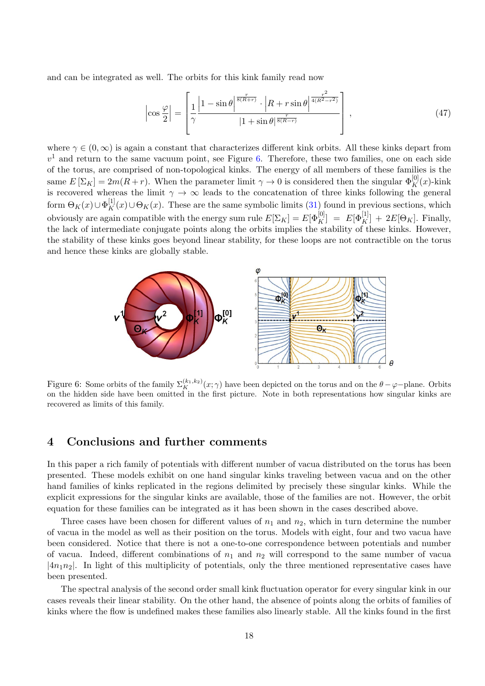and can be integrated as well. The orbits for this kink family read now

$$
\left|\cos\frac{\varphi}{2}\right| = \left[\frac{1}{\gamma} \frac{\left|1 - \sin\theta\right|^{\frac{r}{8(R+r)}} \cdot \left|R + r\sin\theta\right|^{\frac{r^2}{4(R^2 - r^2)}}}{|1 + \sin\theta|^{\frac{r}{8(R-r)}}}\right],\tag{47}
$$

where  $\gamma \in (0, \infty)$  is again a constant that characterizes different kink orbits. All these kinks depart from  $v<sup>1</sup>$  and return to the same vacuum point, see Figure [6.](#page-17-1) Therefore, these two families, one on each side of the torus, are comprised of non-topological kinks. The energy of all members of these families is the same  $E[\Sigma_K] = 2m(R+r)$ . When the parameter limit  $\gamma \to 0$  is considered then the singular  $\Phi_K^{[0]}(x)$ -kink is recovered whereas the limit  $\gamma \to \infty$  leads to the concatenation of three kinks following the general form  $\Theta_K(x) \cup \Phi_K^{[1]}(x) \cup \Theta_K(x)$ . These are the same symbolic limits [\(31\)](#page-10-2) found in previous sections, which obviously are again compatible with the energy sum rule  $E[\Sigma_K] = E[\Phi_K^{[0]}] = E[\Phi_K^{[1]}] + 2E[\Theta_K]$ . Finally, the lack of intermediate conjugate points along the orbits implies the stability of these kinks. However, the stability of these kinks goes beyond linear stability, for these loops are not contractible on the torus and hence these kinks are globally stable.



<span id="page-17-1"></span>Figure 6: Some orbits of the family  $\Sigma_K^{(k_1,k_2)}(x;\gamma)$  have been depicted on the torus and on the  $\theta-\varphi$ -plane. Orbits on the hidden side have been omitted in the first picture. Note in both representations how singular kinks are recovered as limits of this family.

#### <span id="page-17-0"></span>4 Conclusions and further comments

In this paper a rich family of potentials with different number of vacua distributed on the torus has been presented. These models exhibit on one hand singular kinks traveling between vacua and on the other hand families of kinks replicated in the regions delimited by precisely these singular kinks. While the explicit expressions for the singular kinks are available, those of the families are not. However, the orbit equation for these families can be integrated as it has been shown in the cases described above.

Three cases have been chosen for different values of  $n_1$  and  $n_2$ , which in turn determine the number of vacua in the model as well as their position on the torus. Models with eight, four and two vacua have been considered. Notice that there is not a one-to-one correspondence between potentials and number of vacua. Indeed, different combinations of  $n_1$  and  $n_2$  will correspond to the same number of vacua  $|4n_1n_2|$ . In light of this multiplicity of potentials, only the three mentioned representative cases have been presented.

The spectral analysis of the second order small kink fluctuation operator for every singular kink in our cases reveals their linear stability. On the other hand, the absence of points along the orbits of families of kinks where the flow is undefined makes these families also linearly stable. All the kinks found in the first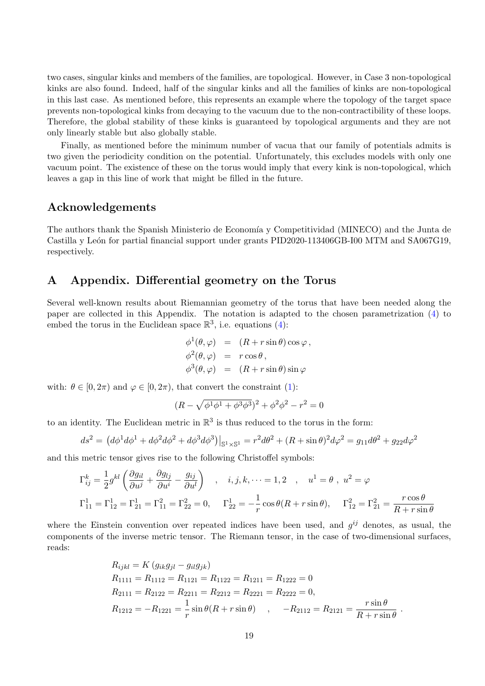two cases, singular kinks and members of the families, are topological. However, in Case 3 non-topological kinks are also found. Indeed, half of the singular kinks and all the families of kinks are non-topological in this last case. As mentioned before, this represents an example where the topology of the target space prevents non-topological kinks from decaying to the vacuum due to the non-contractibility of these loops. Therefore, the global stability of these kinks is guaranteed by topological arguments and they are not only linearly stable but also globally stable.

Finally, as mentioned before the minimum number of vacua that our family of potentials admits is two given the periodicity condition on the potential. Unfortunately, this excludes models with only one vacuum point. The existence of these on the torus would imply that every kink is non-topological, which leaves a gap in this line of work that might be filled in the future.

#### Acknowledgements

The authors thank the Spanish Ministerio de Economía y Competitividad (MINECO) and the Junta de Castilla y León for partial financial support under grants PID2020-113406GB-I00 MTM and SA067G19, respectively.

#### A Appendix. Differential geometry on the Torus

Several well-known results about Riemannian geometry of the torus that have been needed along the paper are collected in this Appendix. The notation is adapted to the chosen parametrization [\(4\)](#page-3-0) to embed the torus in the Euclidean space  $\mathbb{R}^3$ , i.e. equations [\(4\)](#page-3-0):

$$
\begin{aligned}\n\phi^1(\theta, \varphi) &= (R + r \sin \theta) \cos \varphi, \\
\phi^2(\theta, \varphi) &= r \cos \theta, \\
\phi^3(\theta, \varphi) &= (R + r \sin \theta) \sin \varphi\n\end{aligned}
$$

with:  $\theta \in [0, 2\pi)$  and  $\varphi \in [0, 2\pi)$ , that convert the constraint [\(1\)](#page-2-1):

$$
(R - \sqrt{\phi^1 \phi^1 + \phi^3 \phi^3})^2 + \phi^2 \phi^2 - r^2 = 0
$$

to an identity. The Euclidean metric in  $\mathbb{R}^3$  is thus reduced to the torus in the form:

$$
ds^{2} = (d\phi^{1}d\phi^{1} + d\phi^{2}d\phi^{2} + d\phi^{3}d\phi^{3})|_{S^{1}\times S^{1}} = r^{2}d\theta^{2} + (R + \sin \theta)^{2}d\phi^{2} = g_{11}d\theta^{2} + g_{22}d\phi^{2}
$$

and this metric tensor gives rise to the following Christoffel symbols:

$$
\Gamma_{ij}^{k} = \frac{1}{2} g^{kl} \left( \frac{\partial g_{il}}{\partial u^{j}} + \frac{\partial g_{lj}}{\partial u^{i}} - \frac{g_{ij}}{\partial u^{l}} \right) , i, j, k, \dots = 1, 2 , u^{1} = \theta , u^{2} = \varphi
$$
  
\n
$$
\Gamma_{11}^{1} = \Gamma_{12}^{1} = \Gamma_{21}^{1} = \Gamma_{11}^{2} = \Gamma_{22}^{2} = 0 , \Gamma_{22}^{1} = -\frac{1}{r} \cos \theta (R + r \sin \theta), \Gamma_{12}^{2} = \Gamma_{21}^{2} = \frac{r \cos \theta}{R + r \sin \theta}
$$

where the Einstein convention over repeated indices have been used, and  $g^{ij}$  denotes, as usual, the components of the inverse metric tensor. The Riemann tensor, in the case of two-dimensional surfaces, reads:

$$
R_{ijkl} = K (g_{ik}g_{jl} - g_{il}g_{jk})
$$
  
\n
$$
R_{1111} = R_{1112} = R_{1121} = R_{1122} = R_{1211} = R_{1222} = 0
$$
  
\n
$$
R_{2111} = R_{2122} = R_{2211} = R_{2212} = R_{2221} = R_{2222} = 0,
$$
  
\n
$$
R_{1212} = -R_{1221} = \frac{1}{r} \sin \theta (R + r \sin \theta) , \quad -R_{2112} = R_{2121} = \frac{r \sin \theta}{R + r \sin \theta}.
$$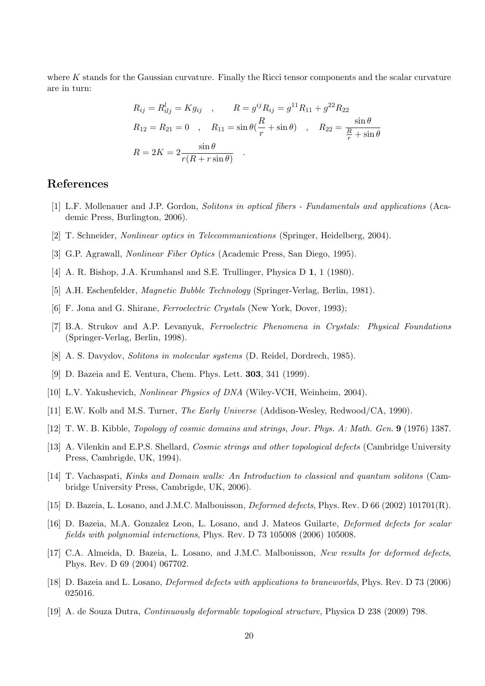where  $K$  stands for the Gaussian curvature. Finally the Ricci tensor components and the scalar curvature are in turn:

$$
R_{ij} = R_{ilj}^l = Kg_{ij} , \t R = g^{ij} R_{ij} = g^{11} R_{11} + g^{22} R_{22}
$$
  
\n
$$
R_{12} = R_{21} = 0 , \t R_{11} = \sin \theta \left( \frac{R}{r} + \sin \theta \right) , \t R_{22} = \frac{\sin \theta}{\frac{R}{r} + \sin \theta}
$$
  
\n
$$
R = 2K = 2 \frac{\sin \theta}{r(R + r \sin \theta)} .
$$

#### References

- <span id="page-19-0"></span>[1] L.F. Mollenauer and J.P. Gordon, Solitons in optical fibers - Fundamentals and applications (Academic Press, Burlington, 2006).
- [2] T. Schneider, Nonlinear optics in Telecommunications (Springer, Heidelberg, 2004).
- <span id="page-19-1"></span>[3] G.P. Agrawall, Nonlinear Fiber Optics (Academic Press, San Diego, 1995).
- <span id="page-19-2"></span>[4] A. R. Bishop, J.A. Krumhansl and S.E. Trullinger, Physica D 1, 1 (1980).
- [5] A.H. Eschenfelder, Magnetic Bubble Technology (Springer-Verlag, Berlin, 1981).
- [6] F. Jona and G. Shirane, *Ferroelectric Crystals* (New York, Dover, 1993);
- <span id="page-19-3"></span>[7] B.A. Strukov and A.P. Levanyuk, Ferroelectric Phenomena in Crystals: Physical Foundations (Springer-Verlag, Berlin, 1998).
- <span id="page-19-4"></span>[8] A. S. Davydov, Solitons in molecular systems (D. Reidel, Dordrech, 1985).
- <span id="page-19-5"></span>[9] D. Bazeia and E. Ventura, Chem. Phys. Lett. 303, 341 (1999).
- <span id="page-19-6"></span>[10] L.V. Yakushevich, Nonlinear Physics of DNA (Wiley-VCH, Weinheim, 2004).
- <span id="page-19-7"></span>[11] E.W. Kolb and M.S. Turner, The Early Universe (Addison-Wesley, Redwood/CA, 1990).
- [12] T. W. B. Kibble, Topology of cosmic domains and strings, Jour. Phys. A: Math. Gen. 9 (1976) 1387.
- [13] A. Vilenkin and E.P.S. Shellard, Cosmic strings and other topological defects (Cambridge University Press, Cambrigde, UK, 1994).
- <span id="page-19-8"></span>[14] T. Vachaspati, Kinks and Domain walls: An Introduction to classical and quantum solitons (Cambridge University Press, Cambrigde, UK, 2006).
- <span id="page-19-9"></span>[15] D. Bazeia, L. Losano, and J.M.C. Malbouisson, *Deformed defects*, Phys. Rev. D 66 (2002) 101701(R).
- [16] D. Bazeia, M.A. Gonzalez Leon, L. Losano, and J. Mateos Guilarte, Deformed defects for scalar fields with polynomial interactions, Phys. Rev. D 73 105008 (2006) 105008.
- [17] C.A. Almeida, D. Bazeia, L. Losano, and J.M.C. Malbouisson, New results for deformed defects, Phys. Rev. D 69 (2004) 067702.
- [18] D. Bazeia and L. Losano, Deformed defects with applications to braneworlds, Phys. Rev. D 73 (2006) 025016.
- [19] A. de Souza Dutra, Continuously deformable topological structure, Physica D 238 (2009) 798.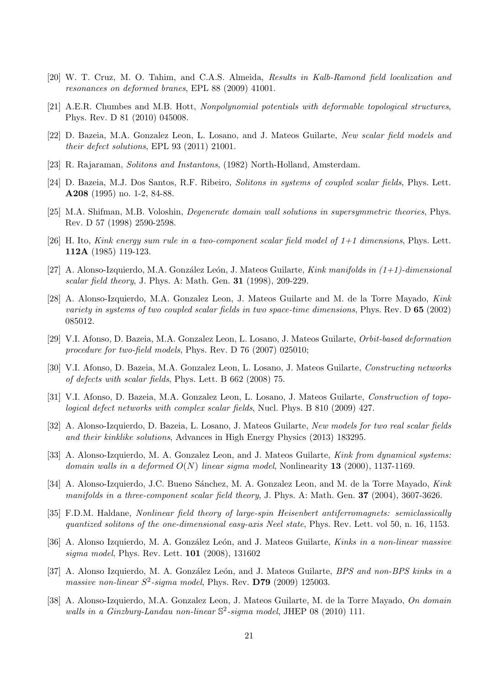- [20] W. T. Cruz, M. O. Tahim, and C.A.S. Almeida, Results in Kalb-Ramond field localization and resonances on deformed branes, EPL 88 (2009) 41001.
- [21] A.E.R. Chumbes and M.B. Hott, Nonpolynomial potentials with deformable topological structures, Phys. Rev. D 81 (2010) 045008.
- <span id="page-20-0"></span>[22] D. Bazeia, M.A. Gonzalez Leon, L. Losano, and J. Mateos Guilarte, New scalar field models and their defect solutions, EPL 93 (2011) 21001.
- <span id="page-20-1"></span>[23] R. Rajaraman, Solitons and Instantons, (1982) North-Holland, Amsterdam.
- <span id="page-20-2"></span>[24] D. Bazeia, M.J. Dos Santos, R.F. Ribeiro, Solitons in systems of coupled scalar fields, Phys. Lett. A208 (1995) no. 1-2, 84-88.
- [25] M.A. Shifman, M.B. Voloshin, Degenerate domain wall solutions in supersymmetric theories, Phys. Rev. D 57 (1998) 2590-2598.
- [26] H. Ito, Kink energy sum rule in a two-component scalar field model of  $1+1$  dimensions, Phys. Lett. 112A (1985) 119-123.
- [27] A. Alonso-Izquierdo, M.A. González León, J. Mateos Guilarte, Kink manifolds in  $(1+1)$ -dimensional scalar field theory, J. Phys. A: Math. Gen. **31** (1998), 209-229.
- [28] A. Alonso-Izquierdo, M.A. Gonzalez Leon, J. Mateos Guilarte and M. de la Torre Mayado, Kink variety in systems of two coupled scalar fields in two space-time dimensions, Phys. Rev.  $\mathbf{D}$  65 (2002) 085012.
- [29] V.I. Afonso, D. Bazeia, M.A. Gonzalez Leon, L. Losano, J. Mateos Guilarte, Orbit-based deformation procedure for two-field models, Phys. Rev. D 76 (2007) 025010;
- [30] V.I. Afonso, D. Bazeia, M.A. Gonzalez Leon, L. Losano, J. Mateos Guilarte, Constructing networks of defects with scalar fields, Phys. Lett. B 662 (2008) 75.
- [31] V.I. Afonso, D. Bazeia, M.A. Gonzalez Leon, L. Losano, J. Mateos Guilarte, Construction of topological defect networks with complex scalar fields, Nucl. Phys. B 810 (2009) 427.
- <span id="page-20-3"></span>[32] A. Alonso-Izquierdo, D. Bazeia, L. Losano, J. Mateos Guilarte, New models for two real scalar fields and their kinklike solutions, Advances in High Energy Physics (2013) 183295.
- <span id="page-20-4"></span>[33] A. Alonso-Izquierdo, M. A. Gonzalez Leon, and J. Mateos Guilarte, Kink from dynamical systems: domain walls in a deformed  $O(N)$  linear sigma model, Nonlinearity 13 (2000), 1137-1169.
- <span id="page-20-5"></span>[34] A. Alonso-Izquierdo, J.C. Bueno Sánchez, M. A. Gonzalez Leon, and M. de la Torre Mayado, Kink manifolds in a three-component scalar field theory, J. Phys. A: Math. Gen. 37 (2004), 3607-3626.
- <span id="page-20-6"></span>[35] F.D.M. Haldane, Nonlinear field theory of large-spin Heisenbert antiferromagnets: semiclassically quantized solitons of the one-dimensional easy-axis Neel state, Phys. Rev. Lett. vol 50, n. 16, 1153.
- <span id="page-20-7"></span>[36] A. Alonso Izquierdo, M. A. González León, and J. Mateos Guilarte, Kinks in a non-linear massive sigma model, Phys. Rev. Lett. 101 (2008), 131602
- <span id="page-20-9"></span>[37] A. Alonso Izquierdo, M. A. González León, and J. Mateos Guilarte, BPS and non-BPS kinks in a massive non-linear  $S^2$ -sigma model, Phys. Rev. D79 (2009) 125003.
- <span id="page-20-8"></span>[38] A. Alonso-Izquierdo, M.A. Gonzalez Leon, J. Mateos Guilarte, M. de la Torre Mayado, On domain walls in a Ginzburg-Landau non-linear  $\mathbb{S}^2$ -sigma model, JHEP 08 (2010) 111.